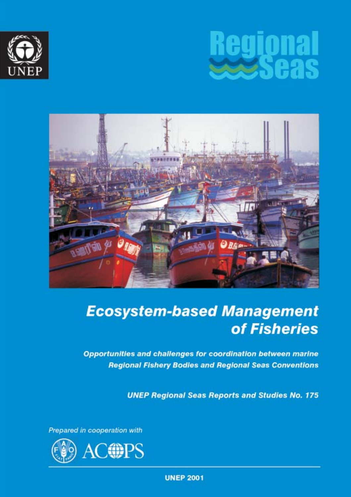





# **Ecosystem-based Management** of Fisheries

Opportunities and challenges for coordination between marine **Regional Fishery Bodies and Regional Seas Conventions** 

**UNEP Regional Seas Reports and Studies No. 175** 

Prepared in cooperation with



**UNEP 2001**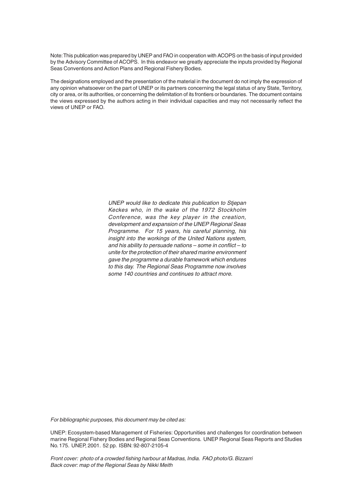Note: This publication was prepared by UNEP and FAO in cooperation with ACOPS on the basis of input provided by the Advisory Committee of ACOPS. In this endeavor we greatly appreciate the inputs provided by Regional Seas Conventions and Action Plans and Regional Fishery Bodies.

The designations employed and the presentation of the material in the document do not imply the expression of any opinion whatsoever on the part of UNEP or its partners concerning the legal status of any State, Territory, city or area, or its authorities, or concerning the delimitation of its frontiers or boundaries. The document contains the views expressed by the authors acting in their individual capacities and may not necessarily reflect the views of UNEP or FAO.

> UNEP would like to dedicate this publication to Stjepan Keckes who, in the wake of the 1972 Stockholm Conference, was the key player in the creation, development and expansion of the UNEP Regional Seas Programme. For 15 years, his careful planning, his insight into the workings of the United Nations system, and his ability to persuade nations – some in conflict – to unite for the protection of their shared marine environment gave the programme a durable framework which endures to this day. The Regional Seas Programme now involves some 140 countries and continues to attract more.

For bibliographic purposes, this document may be cited as:

UNEP: Ecosystem-based Management of Fisheries: Opportunities and challenges for coordination between marine Regional Fishery Bodies and Regional Seas Conventions. UNEP Regional Seas Reports and Studies No. 175. UNEP, 2001. 52 pp. ISBN: 92-807-2105-4

Front cover: photo of a crowded fishing harbour at Madras, India. FAO photo/G. Bizzarri Back cover: map of the Regional Seas by Nikki Meith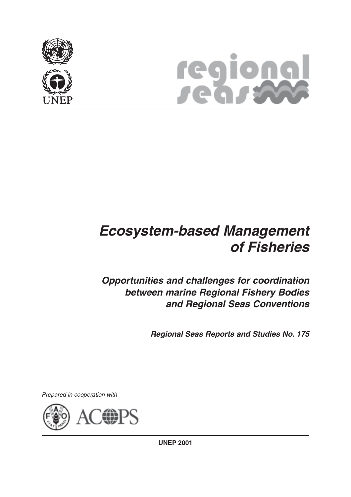



# **Ecosystem-based Management of Fisheries**

**Opportunities and challenges for coordination between marine Regional Fishery Bodies and Regional Seas Conventions**

**Regional Seas Reports and Studies No. 175**

Prepared in cooperation with

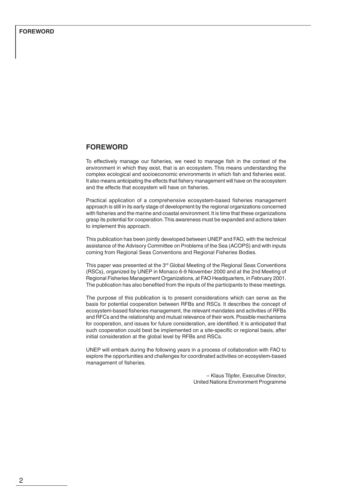### **FOREWORD**

To effectively manage our fisheries, we need to manage fish in the context of the environment in which they exist, that is an ecosystem. This means understanding the complex ecological and socioeconomic environments in which fish and fisheries exist. It also means anticipating the effects that fishery management will have on the ecosystem and the effects that ecosystem will have on fisheries.

Practical application of a comprehensive ecosystem-based fisheries management approach is still in its early stage of development by the regional organizations concerned with fisheries and the marine and coastal environment. It is time that these organizations grasp its potential for cooperation. This awareness must be expanded and actions taken to implement this approach.

This publication has been jointly developed between UNEP and FAO, with the technical assistance of the Advisory Committee on Problems of the Sea (ACOPS) and with inputs coming from Regional Seas Conventions and Regional Fisheries Bodies.

This paper was presented at the 3<sup>rd</sup> Global Meeting of the Regional Seas Conventions (RSCs), organized by UNEP in Monaco 6-9 November 2000 and at the 2nd Meeting of Regional Fisheries Management Organizations, at FAO Headquarters, in February 2001. The publication has also benefited from the inputs of the participants to these meetings.

The purpose of this publication is to present considerations which can serve as the basis for potential cooperation between RFBs and RSCs. It describes the concept of ecosystem-based fisheries management, the relevant mandates and activities of RFBs and RFCs and the relationship and mutual relevance of their work. Possible mechanisms for cooperation, and issues for future consideration, are identified. It is anticipated that such cooperation could best be implemented on a site-specific or regional basis, after initial consideration at the global level by RFBs and RSCs.

UNEP will embark during the following years in a process of collaboration with FAO to explore the opportunities and challenges for coordinated activities on ecosystem-based management of fisheries.

> – Klaus Töpfer, Executive Director, United Nations Environment Programme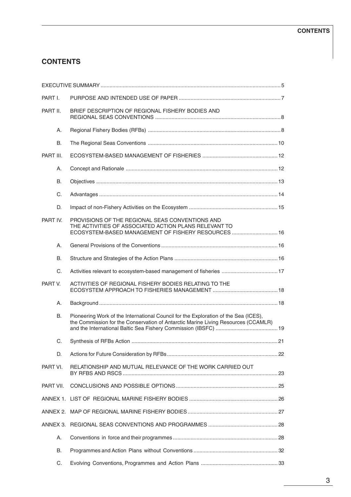# **CONTENTS**

| PART I.   |                                                                                                                                                                          |  |
|-----------|--------------------------------------------------------------------------------------------------------------------------------------------------------------------------|--|
| PART II.  | BRIEF DESCRIPTION OF REGIONAL FISHERY BODIES AND                                                                                                                         |  |
| А.        |                                                                                                                                                                          |  |
| <b>B.</b> |                                                                                                                                                                          |  |
| PART III. |                                                                                                                                                                          |  |
| Α.        |                                                                                                                                                                          |  |
| <b>B.</b> |                                                                                                                                                                          |  |
| C.        |                                                                                                                                                                          |  |
| D.        |                                                                                                                                                                          |  |
| PART IV.  | PROVISIONS OF THE REGIONAL SEAS CONVENTIONS AND<br>THE ACTIVITIES OF ASSOCIATED ACTION PLANS RELEVANT TO<br>ECOSYSTEM-BASED MANAGEMENT OF FISHERY RESOURCES  16          |  |
| Α.        |                                                                                                                                                                          |  |
| <b>B.</b> |                                                                                                                                                                          |  |
| C.        |                                                                                                                                                                          |  |
| PART V.   | ACTIVITIES OF REGIONAL FISHERY BODIES RELATING TO THE                                                                                                                    |  |
| Α.        |                                                                                                                                                                          |  |
| <b>B.</b> | Pioneering Work of the International Council for the Exploration of the Sea (ICES),<br>the Commission for the Conservation of Antarctic Marine Living Resources (CCAMLR) |  |
| C.        |                                                                                                                                                                          |  |
| D.        |                                                                                                                                                                          |  |
| PART VI.  | RELATIONSHIP AND MUTUAL RELEVANCE OF THE WORK CARRIED OUT                                                                                                                |  |
| PART VII. |                                                                                                                                                                          |  |
|           |                                                                                                                                                                          |  |
|           |                                                                                                                                                                          |  |
|           |                                                                                                                                                                          |  |
| А.        |                                                                                                                                                                          |  |
| В.        |                                                                                                                                                                          |  |
| C.        |                                                                                                                                                                          |  |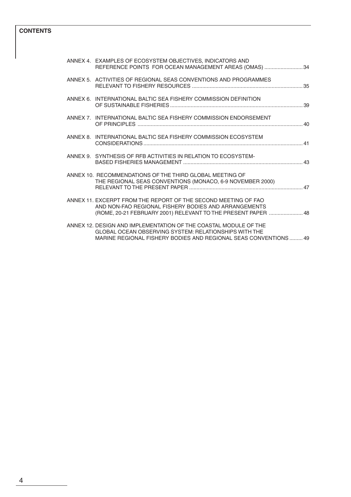# **CONTENTS**

|  | ANNEX 4. EXAMPLES OF ECOSYSTEM OBJECTIVES, INDICATORS AND<br>REFERENCE POINTS FOR OCEAN MANAGEMENT AREAS (OMAS)  34                                                                          |  |
|--|----------------------------------------------------------------------------------------------------------------------------------------------------------------------------------------------|--|
|  | ANNEX 5. ACTIVITIES OF REGIONAL SEAS CONVENTIONS AND PROGRAMMES                                                                                                                              |  |
|  | ANNEX 6. INTERNATIONAL BALTIC SEA FISHERY COMMISSION DEFINITION                                                                                                                              |  |
|  | ANNEX 7. INTERNATIONAL BALTIC SEA FISHERY COMMISSION ENDORSEMENT                                                                                                                             |  |
|  | ANNEX 8. INTERNATIONAL BALTIC SEA FISHERY COMMISSION ECOSYSTEM                                                                                                                               |  |
|  | ANNEX 9. SYNTHESIS OF RFB ACTIVITIES IN RELATION TO ECOSYSTEM-                                                                                                                               |  |
|  | ANNEX 10. RECOMMENDATIONS OF THE THIRD GLOBAL MEETING OF<br>THE REGIONAL SEAS CONVENTIONS (MONACO, 6-9 NOVEMBER 2000)                                                                        |  |
|  | ANNEX 11. EXCERPT FROM THE REPORT OF THE SECOND MEETING OF FAO<br>AND NON-FAO REGIONAL FISHERY BODIES AND ARRANGEMENTS<br>(ROME, 20-21 FEBRUARY 2001) RELEVANT TO THE PRESENT PAPER  48      |  |
|  | ANNEX 12. DESIGN AND IMPLEMENTATION OF THE COASTAL MODULE OF THE<br>GLOBAL OCEAN OBSERVING SYSTEM: RELATIONSHIPS WITH THE<br>MARINE REGIONAL FISHERY BODIES AND REGIONAL SEAS CONVENTIONS 49 |  |
|  |                                                                                                                                                                                              |  |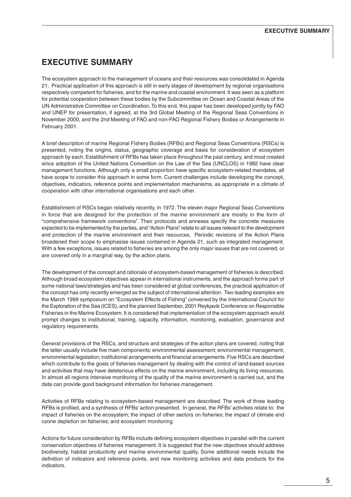# **EXECUTIVE SUMMARY**

The ecosystem approach to the management of oceans and their resources was consolidated in Agenda 21. Practical application of this approach is still in early stages of development by regional organisations respectively competent for fisheries, and for the marine and coastal environment. It was seen as a platform for potential cooperation between these bodies by the Subcommittee on Ocean and Coastal Areas of the UN Administrative Committee on Coordination. To this end, this paper has been developed jointly by FAO and UNEP for presentation, if agreed, at the 3rd Global Meeting of the Regional Seas Conventions in November 2000, and the 2nd Meeting of FAO and non-FAO Regional Fishery Bodies or Arrangements in February 2001.

A brief description of marine Regional Fishery Bodies (RFBs) and Regional Seas Conventions (RSCs) is presented, noting the origins, status, geographic coverage and basis for consideration of ecosystem approach by each. Establishment of RFBs has taken place throughout the past century, and most created since adoption of the United Nations Convention on the Law of the Sea (UNCLOS) in 1982 have clear management functions. Although only a small proportion have specific ecosystem-related mandates, all have scope to consider this approach in some form. Current challenges include developing the concept, objectives, indicators, reference points and implementation mechanisms, as appropriate in a climate of cooperation with other international organisations and each other.

Establishment of RSCs began relatively recently, in 1972. The eleven major Regional Seas Conventions in force that are designed for the protection of the marine environment are mostly in the form of "comprehensive framework conventions". Their protocols and annexes specify the concrete measures expected to be implemented by the parties, and "Action Plans" relate to all issues relevant to the development and protection of the marine environment and their resources. Periodic revisions of the Action Plans broadened their scope to emphasise issues contained in Agenda 21, such as integrated management. With a few exceptions, issues related to fisheries are among the only major issues that are not covered, or are covered only in a marginal way, by the action plans.

The development of the concept and rationale of ecosystem-based management of fisheries is described. Although broad ecosystem objectives appear in international instruments, and the approach forms part of some national laws/strategies and has been considered at global conferences, the practical application of the concept has only recently emerged as the subject of international attention. Two leading examples are the March 1999 symposium on "Ecosystem Effects of Fishing" convened by the International Council for the Exploration of the Sea (ICES), and the planned September, 2001 Reykjavik Conference on Responsible Fisheries in the Marine Ecosystem. It is considered that implementation of the ecosystem approach would prompt changes to institutional, training, capacity, information, monitoring, evaluation, governance and regulatory requirements.

General provisions of the RSCs, and structure and strategies of the action plans are covered, noting that the latter usually include five main components: environmental assessment; environmental management; environmental legislation; institutional arrangements and financial arrangements. Five RSCs are described which contribute to the goals of fisheries management by dealing with the control of land-based sources and activities that may have deleterious effects on the marine environment, including its living resources. In almost all regions intensive monitoring of the quality of the marine environment is carried out, and the data can provide good background information for fisheries management.

Activities of RFBs relating to ecosystem-based management are described. The work of three leading RFBs is profiled, and a synthesis of RFBs' action presented. In general, the RFBs' activities relate to: the impact of fisheries on the ecosystem; the impact of other sectors on fisheries; the impact of climate and ozone depletion on fisheries; and ecosystem monitoring.

Actions for future consideration by RFBs include defining ecosystem objectives in parallel with the current conservation objectives of fisheries management. It is suggested that the new objectives should address biodiversity, habitat productivity and marine environmental quality. Some additional needs include the definition of indicators and reference points, and new monitoring activities and data products for the **indicators**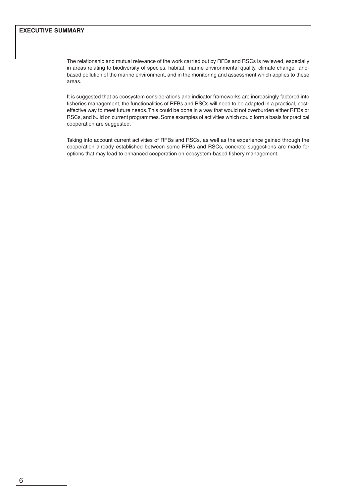# **EXECUTIVE SUMMARY**

The relationship and mutual relevance of the work carried out by RFBs and RSCs is reviewed, especially in areas relating to biodiversity of species, habitat, marine environmental quality, climate change, landbased pollution of the marine environment, and in the monitoring and assessment which applies to these areas.

It is suggested that as ecosystem considerations and indicator frameworks are increasingly factored into fisheries management, the functionalities of RFBs and RSCs will need to be adapted in a practical, costeffective way to meet future needs. This could be done in a way that would not overburden either RFBs or RSCs, and build on current programmes. Some examples of activities which could form a basis for practical cooperation are suggested.

Taking into account current activities of RFBs and RSCs, as well as the experience gained through the cooperation already established between some RFBs and RSCs, concrete suggestions are made for options that may lead to enhanced cooperation on ecosystem-based fishery management.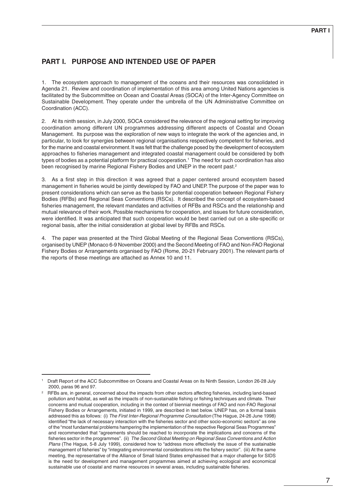# **PART I. PURPOSE AND INTENDED USE OF PAPER**

1. The ecosystem approach to management of the oceans and their resources was consolidated in Agenda 21. Review and coordination of implementation of this area among United Nations agencies is facilitated by the Subcommittee on Ocean and Coastal Areas (SOCA) of the Inter-Agency Committee on Sustainable Development. They operate under the umbrella of the UN Administrative Committee on Coordination (ACC).

2. At its ninth session, in July 2000, SOCA considered the relevance of the regional setting for improving coordination among different UN programmes addressing different aspects of Coastal and Ocean Management. Its purpose was the exploration of new ways to integrate the work of the agencies and, in particular, to look for synergies between regional organisations respectively competent for fisheries, and for the marine and coastal environment. It was felt that the challenge posed by the development of ecosystem approaches to fisheries management and integrated coastal management could be considered by both types of bodies as a potential platform for practical cooperation.1 The need for such coordination has also been recognised by marine Regional Fishery Bodies and UNEP in the recent past.<sup>2</sup>

3. As a first step in this direction it was agreed that a paper centered around ecosystem based management in fisheries would be jointly developed by FAO and UNEP. The purpose of the paper was to present considerations which can serve as the basis for potential cooperation between Regional Fishery Bodies (RFBs) and Regional Seas Conventions (RSCs). It described the concept of ecosystem-based fisheries management, the relevant mandates and activities of RFBs and RSCs and the relationship and mutual relevance of their work. Possible mechanisms for cooperation, and issues for future consideration, were identified. It was anticipated that such cooperation would be best carried out on a site-specific or regional basis, after the initial consideration at global level by RFBs and RSCs.

4. The paper was presented at the Third Global Meeting of the Regional Seas Conventions (RSCs), organised by UNEP (Monaco 6-9 November 2000) and the Second Meeting of FAO and Non-FAO Regional Fishery Bodies or Arrangements organised by FAO (Rome, 20-21 February 2001). The relevant parts of the reports of these meetings are attached as Annex 10 and 11.

<sup>1</sup> Draft Report of the ACC Subcommittee on Oceans and Coastal Areas on its Ninth Session, London 26-28 July 2000, paras 96 and 97.

<sup>&</sup>lt;sup>2</sup> RFBs are, in general, concerned about the impacts from other sectors affecting fisheries, including land-based pollution and habitat, as well as the impacts of non-sustainable fishing or fishing techniques and climate. Their concerns and mutual cooperation, including in the context of biennial meetings of FAO and non-FAO Regional Fishery Bodies or Arrangements, initiated in 1999, are described in text below. UNEP has, on a formal basis addressed this as follows: (i) The First Inter-Regional Programme Consultation (The Hague, 24-26 June 1998) identified "the lack of necessary interaction with the fisheries sector and other socio-economic sectors" as one of the "most fundamental problems hampering the implementation of the respective Regional Seas Programmes" and recommended that "agreements should be reached to incorporate the implications and concerns of the fisheries sector in the programmes". (ii) The Second Global Meeting on Regional Seas Conventions and Action Plans (The Hague, 5-8 July 1999), considered how to "address more effectively the issue of the sustainable management of fisheries" by "integrating environmental considerations into the fishery sector". (iii) At the same meeting, the representative of the Alliance of Small Island States emphasised that a major challenge for SIDS is the need for development and management programmes aimed at achieving ecological and economical sustainable use of coastal and marine resources in several areas, including sustainable fisheries.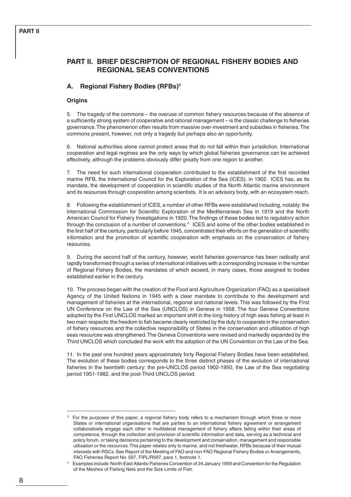# **PART II. BRIEF DESCRIPTION OF REGIONAL FISHERY BODIES AND REGIONAL SEAS CONVENTIONS**

# **A. Regional Fishery Bodies (RFBs)3**

## **Origins**

5. The tragedy of the commons – the overuse of common fishery resources because of the absence of a sufficiently strong system of cooperative and rational management – is the classic challenge to fisheries governance. The phenomenon often results from massive over-investment and subsidies in fisheries. The commons present, however, not only a tragedy but perhaps also an opportunity.

6. National authorities alone cannot protect areas that do not fall within their jurisdiction. International cooperation and legal regimes are the only ways by which global fisheries governance can be achieved effectively, although the problems obviously differ greatly from one region to another.

7. The need for such international cooperation contributed to the establishment of the first recorded marine RFB, the International Council for the Exploration of the Sea (ICES), in 1902. ICES has, as its mandate, the development of cooperation in scientific studies of the North Atlantic marine environment and its resources through cooperation among scientists. It is an advisory body, with an ecosystem reach.

8. Following the establishment of ICES, a number of other RFBs were established including, notably: the International Commission for Scientific Exploration of the Mediterranean Sea in 1919 and the North American Council for Fishery Investigations in 1920. The findings of these bodies led to regulatory action through the conclusion of a number of conventions.4 ICES and some of the other bodies established in the first half of the century, particularly before 1945, concentrated their efforts on the generation of scientific information and the promotion of scientific cooperation with emphasis on the conservation of fishery resources.

9. During the second half of the century, however, world fisheries governance has been radically and rapidly transformed through a series of international initiatives with a corresponding increase in the number of Regional Fishery Bodies, the mandates of which exceed, in many cases, those assigned to bodies established earlier in the century.

10. The process began with the creation of the Food and Agriculture Organization (FAO) as a specialised Agency of the United Nations in 1945 with a clear mandate to contribute to the development and management of fisheries at the international, regional and national levels. This was followed by the First UN Conference on the Law of the Sea (UNCLOS) in Geneva in 1958. The four Geneva Conventions adopted by the First UNCLOS marked an important shift in the long history of high seas fishing at least in two main respects: the freedom to fish became clearly restricted by the duty to cooperate in the conservation of fishery resources and the collective responsibility of States in the conservation and utilisation of high seas resources was strengthened. The Geneva Conventions were revised and markedly expanded by the Third UNCLOS which concluded the work with the adoption of the UN Convention on the Law of the Sea.

11. In the past one hundred years approximately forty Regional Fishery Bodies have been established. The evolution of these bodies corresponds to the three distinct phases of the evolution of international fisheries in the twentieth century: the pre-UNCLOS period 1902-1950, the Law of the Sea negotiating period 1951-1982, and the post-Third UNCLOS period.

For the purposes of this paper, a regional fishery body refers to a mechanism through which three or more States or international organisations that are parties to an international fishery agreement or arrangement collaboratively engage each other in multilateral management of fishery affairs falling within their areas of competence, through the collection and provision of scientific information and data, serving as a technical and policy forum, or taking decisions pertaining to the development and conservation, management and responsible utilisation or the resources. This paper relates only to marine, and not freshwater, RFBs because of their mutual interests with RSCs. See Report of the Meeting of FAO and non-FAO Regional Fishery Bodies or Arrangements, FAO Fisheries Report No. 597, FIPL/R597, para 1, footnote 1.

<sup>4</sup> Examples include: North-East Atlantic Fisheries Convention of 24 January 1959 and Convention for the Regulation of the Meshes of Fishing Nets and the Size Limits of Fish.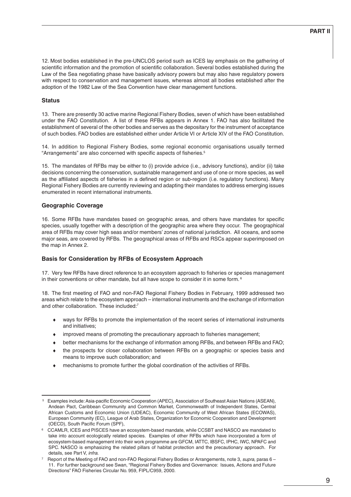12. Most bodies established in the pre-UNCLOS period such as ICES lay emphasis on the gathering of scientific information and the promotion of scientific collaboration. Several bodies established during the Law of the Sea negotiating phase have basically advisory powers but may also have regulatory powers with respect to conservation and management issues, whereas almost all bodies established after the adoption of the 1982 Law of the Sea Convention have clear management functions.

#### **Status**

13. There are presently 30 active marine Regional Fishery Bodies, seven of which have been established under the FAO Constitution. A list of these RFBs appears in Annex 1. FAO has also facilitated the establishment of several of the other bodies and serves as the depositary for the instrument of acceptance of such bodies. FAO bodies are established either under Article VI or Article XIV of the FAO Constitution.

14. In addition to Regional Fishery Bodies, some regional economic organisations usually termed "Arrangements" are also concerned with specific aspects of fisheries.5

15. The mandates of RFBs may be either to (i) provide advice (i.e., advisory functions), and/or (ii) take decisions concerning the conservation, sustainable management and use of one or more species, as well as the affiliated aspects of fisheries in a defined region or sub-region (i.e. regulatory functions). Many Regional Fishery Bodies are currently reviewing and adapting their mandates to address emerging issues enumerated in recent international instruments.

#### **Geographic Coverage**

16. Some RFBs have mandates based on geographic areas, and others have mandates for specific species, usually together with a description of the geographic area where they occur. The geographical area of RFBs may cover high seas and/or members' zones of national jurisdiction. All oceans, and some major seas, are covered by RFBs. The geographical areas of RFBs and RSCs appear superimposed on the map in Annex 2.

#### **Basis for Consideration by RFBs of Ecosystem Approach**

17. Very few RFBs have direct reference to an ecosystem approach to fisheries or species management in their conventions or other mandate, but all have scope to consider it in some form.<sup>6</sup>

18. The first meeting of FAO and non-FAO Regional Fishery Bodies in February, 1999 addressed two areas which relate to the ecosystem approach – international instruments and the exchange of information and other collaboration. These included:7

- ways for RFBs to promote the implementation of the recent series of international instruments and initiatives;
- improved means of promoting the precautionary approach to fisheries management;
- better mechanisms for the exchange of information among RFBs, and between RFBs and FAO;
- the prospects for closer collaboration between RFBs on a geographic or species basis and means to improve such collaboration; and
- mechanisms to promote further the global coordination of the activities of RFBs.

Examples include: Asia-pacific Economic Cooperation (APEC), Association of Southeast Asian Nations (ASEAN), Andean Pact, Caribbean Community and Common Market, Commonwealth of Independent States, Central African Customs and Economic Union (UDEAC), Economic Community of West African States (ECOWAS), European Community (EC), League of Arab States, Organization for Economic Cooperation and Development (OECD), South Pacific Forum (SPF),

<sup>6</sup> CCAMLR, ICES and PISCES have an ecosystem-based mandate, while CCSBT and NASCO are mandated to take into account ecologically related species. Examples of other RFBs which have incorporated a form of ecosystem-based management into their work programme are GFCM, IATTC, IBSFC, IPHC, IWC, NPAFC and SPC. NASCO is emphasizing the related pillars of habitat protection and the precautionary approach. For details, see Part V, infra.

Report of the Meeting of FAO and non-FAO Regional Fishery Bodies or Arrangements, note 3, supra, paras 6 -11. For further background see Swan, "Regional Fishery Bodies and Governance: Issues, Actions and Future Directions" FAO Fisheries Circular No. 959, FIPL/C959, 2000.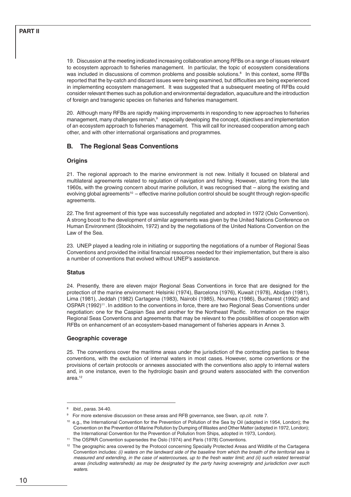19. Discussion at the meeting indicated increasing collaboration among RFBs on a range of issues relevant to ecosystem approach to fisheries management. In particular, the topic of ecosystem considerations was included in discussions of common problems and possible solutions.<sup>8</sup> In this context, some RFBs reported that the by-catch and discard issues were being examined, but difficulties are being experienced in implementing ecosystem management. It was suggested that a subsequent meeting of RFBs could consider relevant themes such as pollution and environmental degradation, aquaculture and the introduction of foreign and transgenic species on fisheries and fisheries management.

20. Although many RFBs are rapidly making improvements in responding to new approaches to fisheries management, many challenges remain,<sup>9</sup> especially developing the concept, objectives and implementation of an ecosystem approach to fisheries management. This will call for increased cooperation among each other, and with other international organisations and programmes.

# **B. The Regional Seas Conventions**

### **Origins**

21. The regional approach to the marine environment is not new. Initially it focused on bilateral and multilateral agreements related to regulation of navigation and fishing. However, starting from the late 1960s, with the growing concern about marine pollution, it was recognised that – along the existing and evolving global agreements<sup>10</sup> – effective marine pollution control should be sought through region-specific agreements.

22. The first agreement of this type was successfully negotiated and adopted in 1972 (Oslo Convention). A strong boost to the development of similar agreements was given by the United Nations Conference on Human Environment (Stockholm, 1972) and by the negotiations of the United Nations Convention on the Law of the Sea.

23. UNEP played a leading role in initiating or supporting the negotiations of a number of Regional Seas Conventions and provided the initial financial resources needed for their implementation, but there is also a number of conventions that evolved without UNEP's assistance.

#### **Status**

24. Presently, there are eleven major Regional Seas Conventions in force that are designed for the protection of the marine environment: Helsinki (1974), Barcelona (1976), Kuwait (1978), Abidjan (1981), Lima (1981), Jeddah (1982) Cartagena (1983), Nairobi (1985), Noumea (1986), Bucharest (1992) and OSPAR (1992)<sup>11</sup>. In addition to the conventions in force, there are two Regional Seas Conventions under negotiation: one for the Caspian Sea and another for the Northeast Pacific. Information on the major Regional Seas Conventions and agreements that may be relevant to the possibilities of cooperation with RFBs on enhancement of an ecosystem-based management of fisheries appears in Annex 3.

#### **Geographic coverage**

25. The conventions cover the maritime areas under the jurisdiction of the contracting parties to these conventions, with the exclusion of internal waters in most cases. However, some conventions or the provisions of certain protocols or annexes associated with the conventions also apply to internal waters and, in one instance, even to the hydrologic basin and ground waters associated with the convention area.12

<sup>8</sup> Ibid., paras. 34-40.

<sup>&</sup>lt;sup>9</sup> For more extensive discussion on these areas and RFB governance, see Swan, op.cit. note 7.

<sup>10</sup> e.g., the International Convention for the Prevention of Pollution of the Sea by Oil (adopted in 1954, London); the Convention on the Prevention of Marine Pollution by Dumping of Wastes and Other Matter (adopted in 1972, London); the International Convention for the Prevention of Pollution from Ships, adopted in 1973, London).

<sup>&</sup>lt;sup>11</sup> The OSPAR Convention supersedes the Oslo (1974) and Paris (1978) Conventions.

<sup>&</sup>lt;sup>12</sup> The geographic area covered by the Protocol concerning Specially Protected Areas and Wildlife of the Cartagena Convention includes: (i) waters on the landward side of the baseline from which the breath of the territorial sea is measured and extending, in the case of watercourses, up to the fresh water limit; and (ii) such related terrestrial areas (including watersheds) as may be designated by the party having sovereignty and jurisdiction over such waters.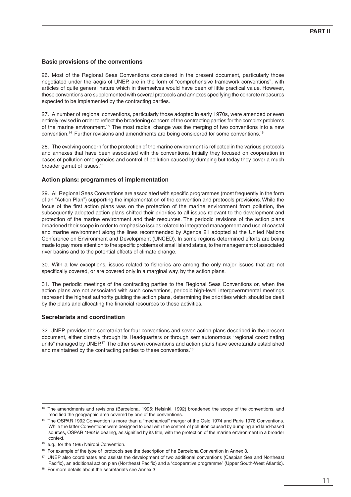#### **Basic provisions of the conventions**

26. Most of the Regional Seas Conventions considered in the present document, particularly those negotiated under the aegis of UNEP, are in the form of "comprehensive framework conventions", with articles of quite general nature which in themselves would have been of little practical value. However, these conventions are supplemented with several protocols and annexes specifying the concrete measures expected to be implemented by the contracting parties.

27. A number of regional conventions, particularly those adopted in early 1970s, were amended or even entirely revised in order to reflect the broadening concern of the contracting parties for the complex problems of the marine environment.13 The most radical change was the merging of two conventions into a new convention.14 Further revisions and amendments are being considered for some conventions.15

28. The evolving concern for the protection of the marine environment is reflected in the various protocols and annexes that have been associated with the conventions. Initially they focused on cooperation in cases of pollution emergencies and control of pollution caused by dumping but today they cover a much broader gamut of issues.16

#### **Action plans: programmes of implementation**

29. All Regional Seas Conventions are associated with specific programmes (most frequently in the form of an "Action Plan") supporting the implementation of the convention and protocols provisions. While the focus of the first action plans was on the protection of the marine environment from pollution, the subsequently adopted action plans shifted their priorities to all issues relevant to the development and protection of the marine environment and their resources. The periodic revisions of the action plans broadened their scope in order to emphasise issues related to integrated management and use of coastal and marine environment along the lines recommended by Agenda 21 adopted at the United Nations Conference on Environment and Development (UNCED). In some regions determined efforts are being made to pay more attention to the specific problems of small island states, to the management of associated river basins and to the potential effects of climate change.

30. With a few exceptions, issues related to fisheries are among the only major issues that are not specifically covered, or are covered only in a marginal way, by the action plans.

31. The periodic meetings of the contracting parties to the Regional Seas Conventions or, when the action plans are not associated with such conventions, periodic high-level intergovernmental meetings represent the highest authority guiding the action plans, determining the priorities which should be dealt by the plans and allocating the financial resources to these activities.

#### **Secretariats and coordination**

32. UNEP provides the secretariat for four conventions and seven action plans described in the present document, either directly through its Headquarters or through semiautonomous "regional coordinating units" managed by UNEP.<sup>17</sup> The other seven conventions and action plans have secretariats established and maintained by the contracting parties to these conventions.18

<sup>13</sup> The amendments and revisions (Barcelona, 1995; Helsinki, 1992) broadened the scope of the conventions, and modified the geographic area covered by one of the conventions.

<sup>14</sup> The OSPAR 1992 Convention is more than a "mechanical" merger of the Oslo 1974 and Paris 1978 Conventions. While the latter Conventions were designed to deal with the control of pollution caused by dumping and land-based sources, OSPAR 1992 is dealing, as signified by its title, with the protection of the marine environment in a broader context.

<sup>15</sup> e.g., for the 1985 Nairobi Convention.

<sup>&</sup>lt;sup>16</sup> For example of the type of protocols see the description of he Barcelona Convention in Annex 3.

<sup>&</sup>lt;sup>17</sup> UNEP also coordinates and assists the development of two additional conventions (Caspian Sea and Northeast Pacific), an additional action plan (Northeast Pacific) and a "cooperative programme" (Upper South-West Atlantic).

<sup>&</sup>lt;sup>18</sup> For more details about the secretariats see Annex 3.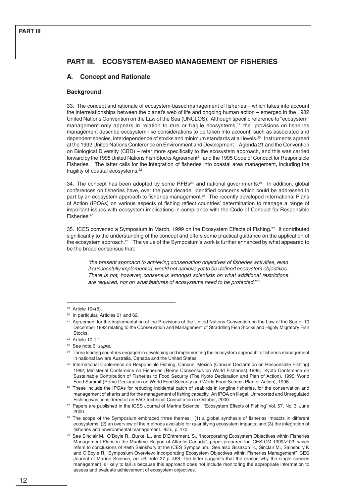# **PART III. ECOSYSTEM-BASED MANAGEMENT OF FISHERIES**

# **A. Concept and Rationale**

#### **Background**

33. The concept and rationale of ecosystem-based management of fisheries – which takes into account the interrelationships between the planet's web of life and ongoing human action – emerged in the 1982 United Nations Convention on the Law of the Sea (UNCLOS). Although specific reference to "ecosystem" management only appears in relation to rare or fragile ecosystems,<sup>19</sup> the provisions on fisheries management describe ecosystem-like considerations to be taken into account, such as associated and dependent species, interdependence of stocks and minimum standards at all levels.<sup>20</sup> Instruments agreed at the 1992 United Nations Conference on Environment and Development – Agenda 21 and the Convention on Biological Diversity (CBD) – refer more specifically to the ecosystem approach, and this was carried forward by the 1995 United Nations Fish Stocks Agreement<sup>21</sup> and the 1995 Code of Conduct for Responsible Fisheries. The latter calls for the integration of fisheries into coastal area management, including the fragility of coastal ecosystems.22

34. The concept has been adopted by some RFBs<sup>23</sup> and national governments.<sup>24</sup> In addition, global conferences on fisheries have, over the past decade, identified concerns which could be addressed in part by an ecosystem approach to fisheries management.<sup>25</sup> The recently developed International Plans of Action (IPOAs) on various aspects of fishing reflect countries' determination to manage a range of important issues with ecosystem implications in compliance with the Code of Conduct for Responsible Fisheries.<sup>26</sup>

35. ICES convened a Symposium in March, 1999 on the Ecosystem Effects of Fishing.<sup>27</sup> It contributed significantly to the understanding of the concept and offers some practical guidance on the application of the ecosystem approach.<sup>28</sup> The value of the Symposium's work is further enhanced by what appeared to be the broad consensus that:

"the present approach to achieving conservation objectives of fisheries activities, even if successfully implemented, would not achieve yet to be defined ecosystem objectives. There is not, however, consensus amongst scientists on what additional restrictions are required, nor on what features of ecosystems need to be protected."<sup>29</sup>

<sup>19</sup> Article 194(5).

<sup>&</sup>lt;sup>20</sup> In particular, Articles 61 and 62.

<sup>&</sup>lt;sup>21</sup> Agreement for the Implementation of the Provisions of the United Nations Convention on the Law of the Sea of 10 December 1982 relating to the Conservation and Management of Straddling Fish Stocks and Highly Migratory Fish Stocks.

<sup>22</sup> Article 10.1.1.

<sup>&</sup>lt;sup>23</sup> See note 6, supra.

<sup>&</sup>lt;sup>24</sup> Three leading countries engaged in developing and implementing the ecosystem approach to fisheries management in national law are Australia, Canada and the United States.

<sup>25</sup> International Conference on Responsible Fishing, Cancun, Mexico (Cancun Declaration on Responsible Fishing) 1992; Ministerial Conference on Fisheries (Rome Consensus on World Fisheries) 1995; Kyoto Conference on Sustainable Contribution of Fisheries to Food Security (The Kyoto Declaration and Plan of Action), 1995; World Food Summit (Rome Declaration on World Food Security and World Food Summit Plan of Action), 1996.

<sup>&</sup>lt;sup>26</sup> These include the IPOAs for reducing incidental catch of seabirds in longline fisheries, for the conservation and management of sharks and for the management of fishing capacity. An IPOA on Illegal, Unreported and Unregulated Fishing was considered at an FAO Technical Consultation in October, 2000.

<sup>&</sup>lt;sup>27</sup> Papers are published in the ICES Journal of Marine Science, "Ecosystem Effects of Fishing" Vol. 57, No. 3, June 2000.

The scope of the Symposium embraced three themes: (1) a global synthesis of fisheries impacts in different ecosystems; (2) an overview of the methods available for quantifying ecosystem impacts; and (3) the integration of fisheries and environmental management. ibid., p. 470.

<sup>29</sup> See Sinclair M., O'Boyle R., Burke, L., and D'Entrement, S., "Incorporating Ecosystem Objectives within Fisheries Management Plans in the Maritime Region of Atlantic Canada", paper prepared for ICES CM 1999/Z:03, which refers to conclusions of Keith Sainsbury at the ICES Symposium. See also Gilsason H., Sinclair M., Sainsbury K and O'Boyle R, "Symposium Overview: Incorporating Ecosystem Objectives within Fisheries Management" ICES Journal of Marine Science, op. cit. note 27 p. 468. The latter suggests that the reason why the single species management is likely to fail is because this approach does not include monitoring the appropriate information to assess and evaluate achievement of ecosystem objectives.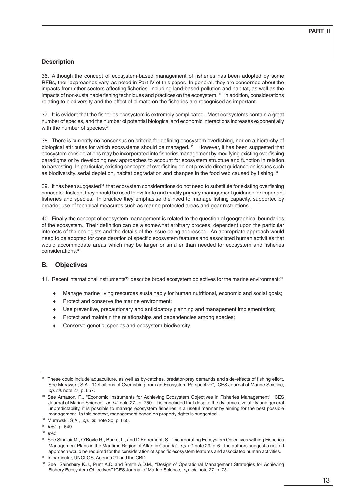## **Description**

36. Although the concept of ecosystem-based management of fisheries has been adopted by some RFBs, their approaches vary, as noted in Part IV of this paper. In general, they are concerned about the impacts from other sectors affecting fisheries, including land-based pollution and habitat, as well as the impacts of non-sustainable fishing techniques and practices on the ecosystem.<sup>30</sup> In addition, considerations relating to biodiversity and the effect of climate on the fisheries are recognised as important.

37. It is evident that the fisheries ecosystem is extremely complicated. Most ecosystems contain a great number of species, and the number of potential biological and economic interactions increases exponentially with the number of species.<sup>31</sup>

38. There is currently no consensus on criteria for defining ecosystem overfishing, nor on a hierarchy of biological attributes for which ecosystems should be managed.<sup>32</sup> However, it has been suggested that ecosystem considerations may be incorporated into fisheries management by modifying existing overfishing paradigms or by developing new approaches to account for ecosystem structure and function in relation to harvesting. In particular, existing concepts of overfishing do not provide direct guidance on issues such as biodiversity, serial depletion, habitat degradation and changes in the food web caused by fishing.<sup>33</sup>

39. It has been suggested<sup>34</sup> that ecosystem considerations do not need to substitute for existing overfishing concepts. Instead, they should be used to evaluate and modify primary management guidance for important fisheries and species. In practice they emphasise the need to manage fishing capacity, supported by broader use of technical measures such as marine protected areas and gear restrictions.

40. Finally the concept of ecosystem management is related to the question of geographical boundaries of the ecosystem. Their definition can be a somewhat arbitrary process, dependent upon the particular interests of the ecologists and the details of the issue being addressed. An appropriate approach would need to be adopted for consideration of specific ecosystem features and associated human activities that would accommodate areas which may be larger or smaller than needed for ecosystem and fisheries considerations.35

# **B. Objectives**

41. Recent international instruments<sup>36</sup> describe broad ecosystem objectives for the marine environment:<sup>37</sup>

- Manage marine living resources sustainably for human nutritional, economic and social goals;
- ♦ Protect and conserve the marine environment;
- Use preventive, precautionary and anticipatory planning and management implementation;
- Protect and maintain the relationships and dependencies among species;
- Conserve genetic, species and ecosystem biodiversity.

<sup>30</sup> These could include aquaculture, as well as by-catches, predator-prey demands and side-effects of fishing effort. See Murawski, S.A., "Definitions of Overfishing from an Ecosystem Perspective", ICES Journal of Marine Science, op. cit. note 27, p. 657.

<sup>31</sup> See Arnason, R., "Economic Instruments for Achieving Ecosystem Objectives in Fisheries Management", ICES Journal of Marine Science, op.cit, note 27, p. 750. It is concluded that despite the dynamics, volatility and general unpredictability, it is possible to manage ecosystem fisheries in a useful manner by aiming for the best possible management. In this context, management based on property rights is suggested.

 $\infty$  Murawski, S.A., op. cit. note 30, p. 650.

<sup>33</sup> Ibid., p. 649.

 $34$  Ibid

<sup>35</sup> See Sinclair M., O'Boyle R., Burke, L., and D'Entrement, S., "Incorporating Ecosystem Objectives withing Fisheries Management Plans in the Maritime Region of Atlantic Canada", op. cit. note 29, p. 6. The authors suggest a nested approach would be required for the consideration of specific ecosystem features and associated human activities.

<sup>36</sup> In particular, UNCLOS, Agenda 21 and the CBD.

<sup>37</sup> See Sainsbury K.J., Punt A.D. and Smith A.D.M., "Design of Operational Management Strategies for Achieving Fishery Ecosystem Objectives" ICES Journal of Marine Science, op. cit. note 27, p. 731.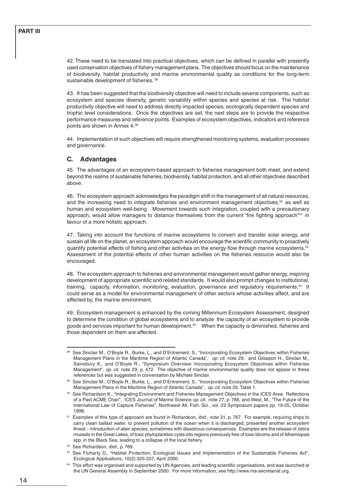42. These need to be translated into practical objectives, which can be defined in parallel with presently used conservation objectives of fishery management plans. The objectives should focus on the maintenance of biodiversity, habitat productivity and marine environmental quality as conditions for the long-term sustainable development of fisheries. 38

43. It has been suggested that the biodiversity objective will need to include several components, such as ecosystem and species diversity, genetic variability within species and species at risk. The habitat productivity objective will need to address directly impacted species, ecologically dependent species and trophic level considerations. Once the objectives are set, the next steps are to provide the respective performance measures and reference points. Examples of ecosystem objectives, indicators and reference points are shown in Annex 4.39

44. Implementation of such objectives will require strengthened monitoring systems, evaluation processes and governance.

# **C. Advantages**

45. The advantages of an ecosystem-based approach to fisheries management both meet, and extend beyond the realms of sustainable fisheries, biodiversity, habitat protection, and all other objectives described above.

46. The ecosystem approach acknowledges the paradigm shift in the management of all natural resources, and the increasing need to integrate fisheries and environment management objectives,<sup>40</sup> as well as human and ecosystem well-being Movement towards such integration, coupled with a precautionary approach, would allow managers to distance themselves from the current "fire fighting approach"<sup>41</sup> in favour of a more holistic approach.

47. Taking into account the functions of marine ecosystems to convert and transfer solar energy, and sustain all life on the planet, an ecosystem approach would encourage the scientific community to proactively quantify potential effects of fishing and other activities on the energy flow through marine ecosystems.<sup>42</sup> Assessment of the potential effects of other human activities on the fisheries resource would also be encouraged.

48. The ecosystem approach to fisheries and environmental management would gather energy, inspiring development of appropriate scientific and related standards. It would also prompt changes to institutional, training, capacity, information, monitoring, evaluation, governance and regulatory requirements.<sup>43</sup> It could serve as a model for environmental management of other sectors whose activities affect, and are affected by, the marine environment.

49. Ecosystem management is enhanced by the coming Millennium Ecosystem Assessment, designed to determine the condition of global ecosystems and to analyze the capacity of an ecosystem to provide goods and services important for human development.<sup>44</sup> When the capacity is diminished, fisheries and those dependent on them are affected.

<sup>42</sup> See Richardson, ibid., p. 769.

<sup>38</sup> See Sinclair M., O'Boyle R., Burke, L., and D'Entrement, S., "Incorporating Ecosystem Objectives within Fisheries Management Plans in the Maritime Region of Atlantic Canada", op. cit. note 29, and Gilsason H., Sinclair M., Sainsbury K., and O'Boyle R., "Symposium Overview: Incorporating Ecosystem Objectives within Fisheries Management", op. cit. note 29, p. 472. The objective of marine environmental quality does not appear in these references but was suggested in conversation by Michael Sinclair.

<sup>39</sup> See Sinclair M., O'Boyle R., Burke, L., and D'Entrement, S., "Incorporating Ecosystem Objectives within Fisheries Management Plans in the Maritime Region of Atlantic Canada", op. cit. note 29, Table 1.

<sup>40</sup> See Richardson K., "Integrating Environment and Fisheries Management Objectives in the ICES Area: Reflections of a Past ACME Chair", ICES Journal of Marine Science op. cit. note 27, p. 766, and West, M., "The Future of the International Law of Capture Fisheries", Northwest Atl. Fish. Sci., vol. 23 Symposium papers pp. 19-25, October 1998.

<sup>&</sup>lt;sup>41</sup> Examples of this type of approach are found in Richardson, *ibid.*, note 31, p. 767. For example, requiring ships to carry clean ballast water, to prevent pollution of the ocean when it is discharged, presented another ecosystem threat – introduction of alien species, sometimes with disastrous consequences. Examples are the release of zebra mussels in the Great Lakes, of toxic phytoplankton cysts into regions previously free of toxic blooms and of Mnemiopsis spp. in the Black Sea, leading to a collapse of the local fishery.

<sup>43</sup> See Fluharty D., "Habitat Protection, Ecological Issues and Implementation of the Sustainable Fisheries Act", Ecological Applications, 10(2):325-337, April 2000.

<sup>44</sup> This effort was organised and supported by UN Agencies, and leading scientific organisations, and was launched at the UN General Assembly in September 2000. For more information, see http://www.ma-secretariat.org.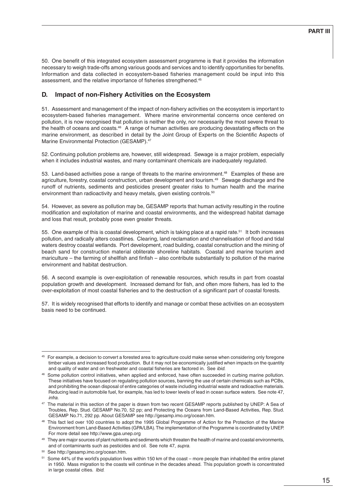50. One benefit of this integrated ecosystem assessment programme is that it provides the information necessary to weigh trade-offs among various goods and services and to identify opportunities for benefits. Information and data collected in ecosystem-based fisheries management could be input into this assessment, and the relative importance of fisheries strengthened.45

# **D. Impact of non-Fishery Activities on the Ecosystem**

51. Assessment and management of the impact of non-fishery activities on the ecosystem is important to ecosystem-based fisheries management. Where marine environmental concerns once centered on pollution, it is now recognised that pollution is neither the only, nor necessarily the most severe threat to the health of oceans and coasts.<sup>46</sup> A range of human activities are producing devastating effects on the marine environment, as described in detail by the Joint Group of Experts on the Scientific Aspects of Marine Environmental Protection (GESAMP).<sup>47</sup>

52. Continuing pollution problems are, however, still widespread. Sewage is a major problem, especially when it includes industrial wastes, and many contaminant chemicals are inadequately regulated.

53. Land-based activities pose a range of threats to the marine environment.<sup>48</sup> Examples of these are agriculture, forestry, coastal construction, urban development and tourism.49 Sewage discharge and the runoff of nutrients, sediments and pesticides present greater risks to human health and the marine environment than radioactivity and heavy metals, given existing controls.<sup>50</sup>

54. However, as severe as pollution may be, GESAMP reports that human activity resulting in the routine modification and exploitation of marine and coastal environments, and the widespread habitat damage and loss that result, probably pose even greater threats.

55. One example of this is coastal development, which is taking place at a rapid rate.<sup>51</sup> It both increases pollution, and radically alters coastlines. Clearing, land reclamation and channelisation of flood and tidal waters destroy coastal wetlands. Port development, road building, coastal construction and the mining of beach sand for construction material obliterate shoreline habitats. Coastal and marine tourism and mariculture – the farming of shellfish and finfish – also contribute substantially to pollution of the marine environment and habitat destruction.

56. A second example is over-exploitation of renewable resources, which results in part from coastal population growth and development. Increased demand for fish, and often more fishers, has led to the over-exploitation of most coastal fisheries and to the destruction of a significant part of coastal forests.

57. It is widely recognised that efforts to identify and manage or combat these activities on an ecosystem basis need to be continued.

<sup>&</sup>lt;sup>45</sup> For example, a decision to convert a forested area to agriculture could make sense when considering only foregone timber values and increased food production. But it may not be economically justified when impacts on the quantity and quality of water and on freshwater and coastal fisheries are factored in. See ibid.

<sup>46</sup> Some pollution control initiatives, when applied and enforced, have often succeeded in curbing marine pollution. These initiatives have focused on regulating pollution sources, banning the use of certain chemicals such as PCBs, and prohibiting the ocean disposal of entire categories of waste including industrial waste and radioactive materials. Reducing lead in automobile fuel, for example, has led to lower levels of lead in ocean surface waters. See note 47, infra.

<sup>&</sup>lt;sup>47</sup> The material in this section of the paper is drawn from two recent GESAMP reports published by UNEP: A Sea of Troubles, Rep. Stud. GESAMP No.70, 52 pp; and Protecting the Oceans from Land-Based Activities, Rep. Stud. GESAMP No.71, 292 pp. About GESAMP see http://gesamp.imo.org/ocean.htm.

<sup>&</sup>lt;sup>48</sup> This fact led over 100 countries to adopt the 1995 Global Programme of Action for the Protection of the Marine Environment from Land-Based Activities (GPA/LBA). The implementation of the Programme is coordinated by UNEP. For more detail see http://www.gpa.unep.org

<sup>49</sup> They are major sources of plant nutrients and sediments which threaten the health of marine and coastal environments, and of contaminants such as pesticides and oil. See note 47, supra.

<sup>50</sup> See http://gesamp.imo.org/ocean.htm.

<sup>&</sup>lt;sup>51</sup> Some 44% of the world's population lives within 150 km of the coast – more people than inhabited the entire planet in 1950. Mass migration to the coasts will continue in the decades ahead. This population growth is concentrated in large coastal cities. Ibid.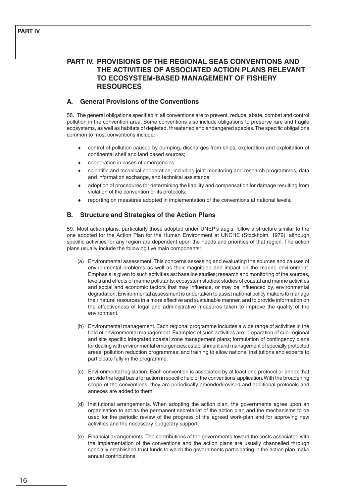# **PART IV. PROVISIONS OF THE REGIONAL SEAS CONVENTIONS AND THE ACTIVITIES OF ASSOCIATED ACTION PLANS RELEVANT TO ECOSYSTEM-BASED MANAGEMENT OF FISHERY RESOURCES**

# **A. General Provisions of the Conventions**

58. The general obligations specified in all conventions are to prevent, reduce, abate, combat and control pollution in the convention area. Some conventions also include obligations to preserve rare and fragile ecosystems, as well as habitats of depleted, threatened and endangered species. The specific obligations common to most conventions include:

- control of pollution caused by dumping, discharges from ships, exploration and exploitation of continental shelf and land based sources;
- cooperation in cases of emergencies;
- scientific and technical cooperation, including joint monitoring and research programmes, data and information exchange, and technical assistance;
- ♦ adoption of procedures for determining the liability and compensation for damage resulting from violation of the convention or its protocols;
- reporting on measures adopted in implementation of the conventions at national levels.

# **B. Structure and Strategies of the Action Plans**

59. Most action plans, particularly those adopted under UNEP's aegis, follow a structure similar to the one adopted for the Action Plan for the Human Environment at UNCHE (Stockholm, 1972), although specific activities for any region are dependent upon the needs and priorities of that region. The action plans usually include the following five main components:

- (a) Environmental assessment. This concerns assessing and evaluating the sources and causes of environmental problems as well as their magnitude and impact on the marine environment. Emphasis is given to such activities as: baseline studies; research and monitoring of the sources, levels and effects of marine pollutants; ecosystem studies; studies of coastal and marine activities and social and economic factors that may influence, or may be influenced by, environmental degradation. Environmental assessment is undertaken to assist national policy makers to manage their natural resources in a more effective and sustainable manner, and to provide information on the effectiveness of legal and administrative measures taken to improve the quality of the environment.
- (b) Environmental management. Each regional programme includes a wide range of activities in the field of environmental management. Examples of such activities are: preparation of sub-regional and site specific integrated coastal zone management plans; formulation of contingency plans for dealing with environmental emergencies; establishment and management of specially protected areas; pollution reduction programmes; and training to allow national institutions and experts to participate fully in the programme.
- (c) Environmental legislation. Each convention is associated by at least one protocol or annex that provide the legal basis for action in specific field of the conventions' application. With the broadening scope of the conventions, they are periodically amended/revised and additional protocols and annexes are added to them.
- (d) Institutional arrangements. When adopting the action plan, the governments agree upon an organisation to act as the permanent secretariat of the action plan and the mechanisms to be used for the periodic review of the progress of the agreed work-plan and for approving new activities and the necessary budgetary support.
- (e) Financial arrangements. The contributions of the governments toward the costs associated with the implementation of the conventions and the action plans are usually channelled through specially established trust funds to which the governments participating in the action plan make annual contributions.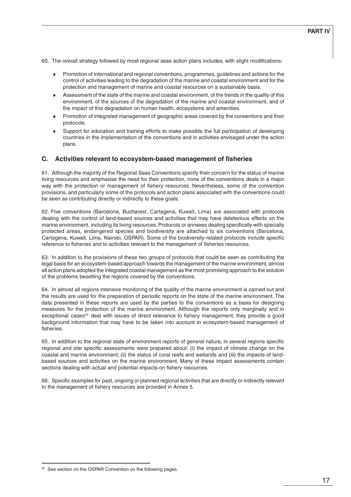60. The overall strategy followed by most regional seas action plans includes, with slight modifications:

- ♦ Promotion of international and regional conventions, programmes, guidelines and actions for the control of activities leading to the degradation of the marine and coastal environment and for the protection and management of marine and coastal resources on a sustainable basis.
- Assessment of the state of the marine and coastal environment, of the trends in the quality of this environment, of the sources of the degradation of the marine and coastal environment, and of the impact of this degradation on human health, ecosystems and amenities.
- ♦ Promotion of integrated management of geographic areas covered by the conventions and their protocols.
- Support for education and training efforts to make possible the full participation of developing countries in the implementation of the conventions and in activities envisaged under the action plans.

#### **C. Activities relevant to ecosystem-based management of fisheries**

61. Although the majority of the Regional Seas Conventions specify their concern for the status of marine living resources and emphasise the need for their protection, none of the conventions deals in a major way with the protection or management of fishery resources. Nevertheless, some of the convention provisions, and particularly some of the protocols and action plans associated with the conventions could be seen as contributing directly or indirectly to these goals.

62. Five conventions (Barcelona, Bucharest, Cartagena, Kuwait, Lima) are associated with protocols dealing with the control of land-based sources and activities that may have deleterious effects on the marine environment, including its living resources. Protocols or annexes dealing specifically with specially protected areas, endangered species and biodiversity are attached to six conventions (Barcelona, Cartagena, Kuwait, Lima, Nairobi, OSPAR). Some of the biodiversity-related protocols include specific reference to fisheries and to activities relevant to the management of fisheries resources.

63. In addition to the provisions of these two groups of protocols that could be seen as contributing the legal basis for an ecosystem-based approach towards the management of the marine environment, almost all action plans adopted the integrated coastal management as the most promising approach to the solution of the problems besetting the regions covered by the conventions.

64. In almost all regions intensive monitoring of the quality of the marine environment is carried out and the results are used for the preparation of periodic reports on the state of the marine environment. The data presented in these reports are used by the parties to the conventions as a basis for designing measures for the protection of the marine environment. Although the reports only marginally and in exceptional cases<sup>52</sup> deal with issues of direct relevance to fishery management, they provide a good background information that may have to be taken into account in ecosystem-based management of fisheries.

65. In addition to the regional state of environment reports of general nature, in several regions specific regional and site specific assessments were prepared about: (i) the impact of climate change on the coastal and marine environment; (ii) the status of coral reefs and wetlands and (iii) the impacts of landbased sources and activities on the marine environment. Many of these impact assessments contain sections dealing with actual and potential impacts on fishery resources.

66. Specific examples for past, ongoing or planned regional activities that are directly or indirectly relevant to the management of fishery resources are provided in Annex 5.

<sup>&</sup>lt;sup>52</sup> See section on the OSPAR Convention on the following pages.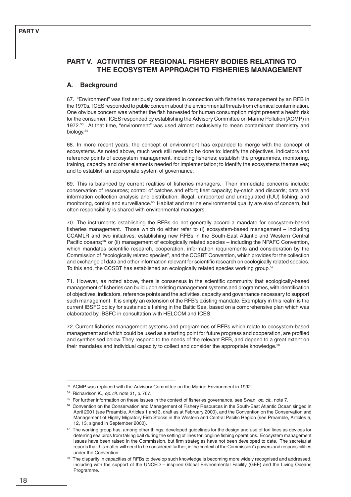# **PART V. ACTIVITIES OF REGIONAL FISHERY BODIES RELATING TO THE ECOSYSTEM APPROACH TO FISHERIES MANAGEMENT**

# **A. Background**

67. "Environment" was first seriously considered in connection with fisheries management by an RFB in the 1970s. ICES responded to public concern about the environmental threats from chemical contamination. One obvious concern was whether the fish harvested for human consumption might present a health risk for the consumer. ICES responded by establishing the Advisory Committee on Marine Pollution(ACMP) in 1972.53 At that time, "environment" was used almost exclusively to mean contaminant chemistry and biology.<sup>54</sup>

68. In more recent years, the concept of environment has expanded to merge with the concept of ecosystems. As noted above, much work still needs to be done to: identify the objectives, indicators and reference points of ecosystem management, including fisheries; establish the programmes, monitoring, training, capacity and other elements needed for implementation; to identify the ecosystems themselves; and to establish an appropriate system of governance.

69. This is balanced by current realities of fisheries managers. Their immediate concerns include: conservation of resources; control of catches and effort; fleet capacity; by-catch and discards; data and information collection analysis and distribution; illegal, unreported and unregulated (IUU) fishing; and monitoring, control and surveillance.<sup>55</sup> Habitat and marine environmental quality are also of concern, but often responsibility is shared with environmental managers.

70. The instruments establishing the RFBs do not generally accord a mandate for ecosystem-based fisheries management. Those which do either refer to (i) ecosystem-based management – including CCAMLR and two initiatives, establishing new RFBs in the South-East Atlantic and Western Central Pacific oceans;<sup>56</sup> or (ii) management of ecologically related species – including the NPAFC Convention, which mandates scientific research, cooperation, information requirements and consideration by the Commission of "ecologically related species", and the CCSBT Convention, which provides for the collection and exchange of data and other information relevant for scientific research on ecologically related species. To this end, the CCSBT has established an ecologically related species working group.<sup>57</sup>

71. However, as noted above, there is consensus in the scientific community that ecologically-based management of fisheries can build upon existing management systems and programmes, with identification of objectives, indicators, reference points and the activities, capacity and governance necessary to support such management. It is simply an extension of the RFB's existing mandate. Exemplary in this realm is the current IBSFC policy for sustainable fishing in the Baltic Sea, based on a comprehensive plan which was elaborated by IBSFC in consultation with HELCOM and ICES.

72. Current fisheries management systems and programmes of RFBs which relate to ecosystem-based management and which could be used as a starting point for future progress and cooperation, are profiled and synthesised below. They respond to the needs of the relevant RFB, and depend to a great extent on their mandates and individual capacity to collect and consider the appropriate knowledge.<sup>58</sup>

<sup>53</sup> ACMP was replaced with the Advisory Committee on the Marine Environment in 1992.

<sup>54</sup> Richardson K., op. cit. note 31, p. 767.

<sup>&</sup>lt;sup>55</sup> For further information on these issues in the context of fisheries governance, see Swan, op. cit., note 7.

**<sup>56</sup>** Convention on the Conservation and Management of Fishery Resources in the South-East Atlantic Ocean singed in April 2001 (see Preamble, Articles 1 and 3, draft as at February 2000), and the Convention on the Conservation and Management of Highly Migratory Fish Stocks in the Western and Central Pacific Region (see Preamble, Articles 5, 12, 13, signed in September 2000).

<sup>57</sup> The working group has, among other things, developed guidelines for the design and use of tori lines as devices for deterring sea birds from taking bait during the setting of lines for longline fishing operations. Ecosystem management issues have been raised in the Commission, but firm strategies have not been developed to date. The secretariat reports that this matter will need to be considered further, in the context of the Commission's powers and responsibilities under the Convention.

<sup>&</sup>lt;sup>58</sup> The disparity in capacities of RFBs to develop such knowledge is becoming more widely recognised and addressed, including with the support of the UNCED – inspired Global Environmental Facility (GEF) and the Living Oceans Programme.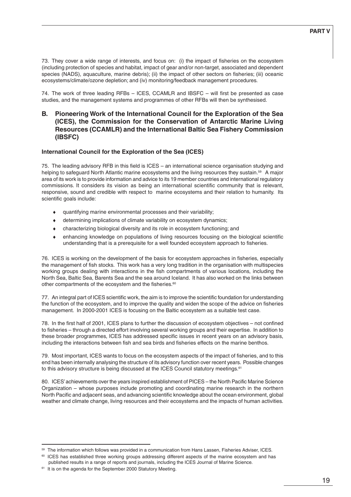59-61

73. They cover a wide range of interests, and focus on: (i) the impact of fisheries on the ecosystem (including protection of species and habitat, impact of gear and/or non-target, associated and dependent species (NADS), aquaculture, marine debris); (ii) the impact of other sectors on fisheries; (iii) oceanic ecosystems/climate/ozone depletion; and (iv) monitoring/feedback management procedures.

74. The work of three leading RFBs – ICES, CCAMLR and IBSFC – will first be presented as case studies, and the management systems and programmes of other RFBs will then be synthesised.

# **B. Pioneering Work of the International Council for the Exploration of the Sea (ICES), the Commission for the Conservation of Antarctic Marine Living Resources (CCAMLR) and the International Baltic Sea Fishery Commission (IBSFC)**

### **International Council for the Exploration of the Sea (ICES)**

75. The leading advisory RFB in this field is ICES – an international science organisation studying and helping to safeguard North Atlantic marine ecosystems and the living resources they sustain.<sup>59</sup> A major area of its work is to provide information and advice to its 19 member countries and international regulatory commissions. It considers its vision as being an international scientific community that is relevant, responsive, sound and credible with respect to marine ecosystems and their relation to humanity. Its scientific goals include:

- ♦ quantifying marine environmental processes and their variability;
- determining implications of climate variability on ecosystem dynamics;
- ♦ characterizing biological diversity and its role in ecosystem functioning; and
- enhancing knowledge on populations of living resources focusing on the biological scientific understanding that is a prerequisite for a well founded ecosystem approach to fisheries.

76. ICES is working on the development of the basis for ecosystem approaches in fisheries, especially the management of fish stocks. This work has a very long tradition in the organisation with multispecies working groups dealing with interactions in the fish compartments of various locations, including the North Sea, Baltic Sea, Barents Sea and the sea around Iceland. It has also worked on the links between other compartments of the ecosystem and the fisheries.<sup>60</sup>

77. An integral part of ICES scientific work, the aim is to improve the scientific foundation for understanding the function of the ecosystem, and to improve the quality and widen the scope of the advice on fisheries management. In 2000-2001 ICES is focusing on the Baltic ecosystem as a suitable test case.

78. In the first half of 2001, ICES plans to further the discussion of ecosystem objectives – not confined to fisheries – through a directed effort involving several working groups and their expertise. In addition to these broader programmes, ICES has addressed specific issues in recent years on an advisory basis, including the interactions between fish and sea birds and fisheries effects on the marine benthos.

79. Most important, ICES wants to focus on the ecosystem aspects of the impact of fisheries, and to this end has been internally analysing the structure of its advisory function over recent years. Possible changes to this advisory structure is being discussed at the ICES Council statutory meetings.<sup>61</sup>

80. ICES' achievements over the years inspired establishment of PICES – the North Pacific Marine Science Organization – whose purposes include promoting and coordinating marine research in the northern North Pacific and adjacent seas, and advancing scientific knowledge about the ocean environment, global weather and climate change, living resources and their ecosystems and the impacts of human activities.

<sup>59</sup> The information which follows was provided in a communication from Hans Lassen, Fisheries Adviser, ICES.

<sup>&</sup>lt;sup>60</sup> ICES has established three working groups addressing different aspects of the marine ecosystem and has published results in a range of reports and journals, including the ICES Journal of Marine Science.

<sup>&</sup>lt;sup>61</sup> It is on the agenda for the September 2000 Statutory Meeting.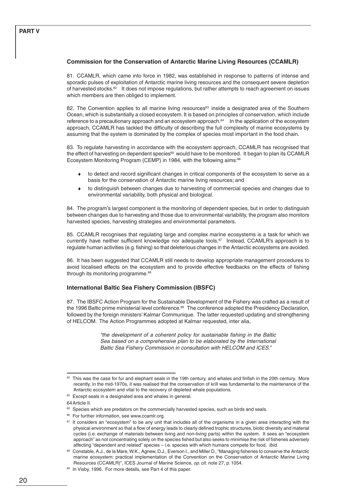# **PART V**

#### **Commission for the Conservation of Antarctic Marine Living Resources (CCAMLR)**

81. CCAMLR, which came into force in 1982, was established in response to patterns of intense and sporadic pulses of exploitation of Antarctic marine living resources and the consequent severe depletion of harvested stocks.<sup>62</sup> It does not impose regulations, but rather attempts to reach agreement on issues which members are then obliged to implement.

82. The Convention applies to all marine living resources<sup>63</sup> inside a designated area of the Southern Ocean, which is substantially a closed ecosystem. It is based on principles of conservation, which include reference to a precautionary approach and an ecosystem approach.<sup>64</sup> In the application of the ecosystem approach, CCAMLR has tackled the difficulty of describing the full complexity of marine ecosystems by assuming that the system is dominated by the complex of species most important in the food chain.

83. To regulate harvesting in accordance with the ecosystem approach, CCAMLR has recognised that the effect of harvesting on dependent species<sup>65</sup> would have to be monitored. It began to plan its CCAMLR Ecosystem Monitoring Program (CEMP) in 1984, with the following aims:<sup>66</sup>

- to detect and record significant changes in critical components of the ecosystem to serve as a basis for the conservation of Antarctic marine living resources; and
- to distinguish between changes due to harvesting of commercial species and changes due to environmental variability, both physical and biological.

84. The program's largest component is the monitoring of dependent species, but in order to distinguish between changes due to harvesting and those due to environmental variability, the program also monitors harvested species, harvesting strategies and environmental parameters.

85. CCAMLR recognises that regulating large and complex marine ecosystems is a task for which we currently have neither sufficient knowledge nor adequate tools.<sup>67</sup> Instead, CCAMLR's approach is to regulate human activities (e.g. fishing) so that deleterious changes in the Antarctic ecosystems are avoided.

86. It has been suggested that CCAMLR still needs to develop appropriate management procedures to avoid localised effects on the ecosystem and to provide effective feedbacks on the effects of fishing through its monitoring programme.<sup>68</sup>

#### **International Baltic Sea Fishery Commission (IBSFC)**

87. The IBSFC Action Program for the Sustainable Development of the Fishery was crafted as a result of the 1996 Baltic prime ministerial level conference.<sup>69</sup> The conference adopted the Presidency Declaration, followed by the foreign ministers' Kalmar Communique. The latter requested updating and strengthening of HELCOM. The Action Programmes adopted at Kalmar requested, inter alia,

> "the development of a coherent policy for sustainable fishing in the Baltic Sea based on a comprehensive plan to be elaborated by the International Baltic Sea Fishery Commission in consultation with HELCOM and ICES."

64Article II.

 $62$  This was the case for fur and elephant seals in the 19th century, and whales and finfish in the 20th century. More recently, in the mid-1970s, it was realised that the conservation of krill was fundamental to the maintenance of the Antarctic ecosystem and vital to the recovery of depleted whale populations.

<sup>&</sup>lt;sup>63</sup> Except seals in a designated area and whales in general.

<sup>&</sup>lt;sup>65</sup> Species which are predators on the commercially harvested species, such as birds and seals.

<sup>&</sup>lt;sup>66</sup> For further information, see www.ccamlr.org.

 $67$  It considers an "ecosystem" to be any unit that includes all of the organisms in a given area interacting with the physical environment so that a flow of energy leads to clearly defined trophic structures, biotic diversity and material cycles (i.e. exchange of materials between living and non-living parts) within the system. It sees an "ecosystem approach" as not concentrating solely on the species fished but also seeks to minimise the risk of fisheries adversely affecting "dependent and related" species – i.e. species with which humans compete for food. Ibid.

<sup>68</sup> Constable, A.J., de la Mare, W.K., Agnew, D.J., Everson I., and Miller D., "Managing fisheries to conserve the Antarctic marine ecosystem: practical implementation of the Convention on the Conservation of Antarctic Marine Living Resources (CCAMLR)", ICES Journal of Marine Science, op. cit. note 27, p. 1054.

<sup>&</sup>lt;sup>69</sup> In Visby, 1996. For more details, see Part 4 of this paper.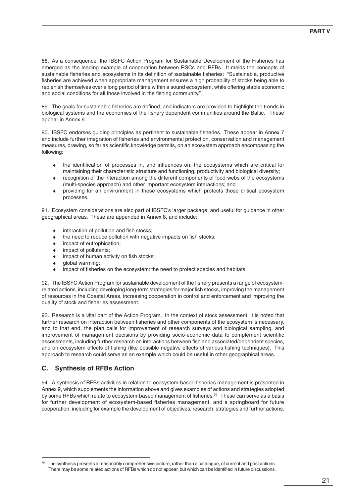88. As a consequence, the IBSFC Action Program for Sustainable Development of the Fisheries has emerged as the leading example of cooperation between RSCs and RFBs. It melds the concepts of sustainable fisheries and ecosystems in its definition of sustainable fisheries: "Sustainable, productive fisheries are achieved when appropriate management ensures a high probability of stocks being able to replenish themselves over a long period of time within a sound ecosystem, while offering stable economic and social conditions for all those involved in the fishing community."

89. The goals for sustainable fisheries are defined, and indicators are provided to highlight the trends in biological systems and the economies of the fishery dependent communities around the Baltic. These appear in Annex 6.

90. IBSFC endorses guiding principles as pertinent to sustainable fisheries. These appear in Annex 7 and include further integration of fisheries and environmental protection, conservation and management measures, drawing, so far as scientific knowledge permits, on an ecosystem approach encompassing the following:

- the identification of processes in, and influences on, the ecosystems which are critical for maintaining their characteristic structure and functioning, productivity and biological diversity;
- ♦ recognition of the interaction among the different components of food-webs of the ecosystems (multi-species approach) and other important ecosystem interactions; and
- ♦ providing for an environment in these ecosystems which protects those critical ecosystem processes.

91. Ecosystem considerations are also part of IBSFC's larger package, and useful for guidance in other geographical areas. These are appended in Annex 8, and include:

- ♦ interaction of pollution and fish stocks;
- $\bullet$  the need to reduce pollution with negative impacts on fish stocks;
- ♦ impact of eutrophication;
- ♦ impact of pollutants;
- impact of human activity on fish stocks;
- global warming;
- impact of fisheries on the ecosystem: the need to protect species and habitats.

92. The IBSFC Action Program for sustainable development of the fishery presents a range of ecosystemrelated actions, including developing long-term strategies for major fish stocks, improving the management of resources in the Coastal Areas, increasing cooperation in control and enforcement and improving the quality of stock and fisheries assessment.

93. Research is a vital part of the Action Program. In the context of stock assessment, it is noted that further research on interaction between fisheries and other components of the ecosystem is necessary, and to that end, the plan calls for improvement of research surveys and biological sampling, and improvement of management decisions by providing socio-economic data to complement scientific assessments, including further research on interactions between fish and associated/dependent species, and on ecosystem effects of fishing (like possible negative effects of various fishing techniques). This approach to research could serve as an example which could be useful in other geographical areas.

# **C. Synthesis of RFBs Action**

94. A synthesis of RFBs activities in relation to ecosystem-based fisheries management is presented in Annex 9, which supplements the information above and gives examples of actions and strategies adopted by some RFBs which relate to ecosystem-based management of fisheries.<sup>70</sup> These can serve as a basis for further development of ecosystem-based fisheries management, and a springboard for future cooperation, including for example the development of objectives, research, strategies and further actions.

 $70$  The synthesis presents a reasonably comprehensive picture, rather than a catalogue, of current and past actions. There may be some related actions of RFBs which do not appear, but which can be identified in future discussions.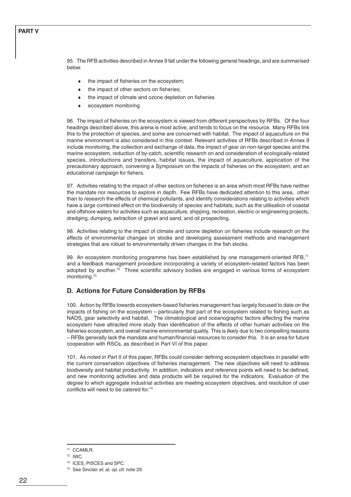95. The RFB activities described in Annex 9 fall under the following general headings, and are summarised below.

- the impact of fisheries on the ecosystem;
- the impact of other sectors on fisheries;
- the impact of climate and ozone depletion on fisheries
- ecosystem monitoring

96. The impact of fisheries on the ecosystem is viewed from different perspectives by RFBs. Of the four headings described above, this arena is most active, and tends to focus on the resource. Many RFBs link this to the protection of species, and some are concerned with habitat. The impact of aquaculture on the marine environment is also considered in this context. Relevant activities of RFBs described in Annex 9 include monitoring, the collection and exchange of data, the impact of gear on non-target species and the marine ecosystem, reduction of by-catch, scientific research on and consideration of ecologically-related species, introductions and transfers, habitat issues, the impact of aquaculture, application of the precautionary approach, convening a Symposium on the impacts of fisheries on the ecosystem, and an educational campaign for fishers.

97. Activities relating to the impact of other sectors on fisheries is an area which most RFBs have neither the mandate nor resources to explore in depth. Few RFBs have dedicated attention to this area, other than to research the effects of chemical pollutants, and identify considerations relating to activities which have a large combined effect on the biodiversity of species and habitats, such as the utilisation of coastal and offshore waters for activities such as aquaculture, shipping, recreation, electric or engineering projects, dredging, dumping, extraction of gravel and sand, and oil prospecting.

98. Activities relating to the impact of climate and ozone depletion on fisheries include research on the effects of environmental changes on stocks and developing assessment methods and management strategies that are robust to environmentally driven changes in the fish stocks.

99. An ecosystem monitoring programme has been established by one management-oriented RFB,71 and a feedback management procedure incorporating a variety of ecosystem-related factors has been adopted by another.<sup>72</sup> Three scientific advisory bodies are engaged in various forms of ecosystem monitoring.73

#### **D. Actions for Future Consideration by RFBs**

100. Action by RFBs towards ecosystem-based fisheries management has largely focused to date on the impacts of fishing on the ecosystem – particularly that part of the ecosystem related to fishing such as NADS, gear selectivity and habitat. The climatological and oceanographic factors affecting the marine ecosystem have attracted more study than identification of the effects of other human activities on the fisheries ecosystem, and overall marine environmental quality. This is likely due to two compelling reasons – RFBs generally lack the mandate and human/financial resources to consider this. It is an area for future cooperation with RSCs, as described in Part VI of this paper.

101. As noted in Part II of this paper, RFBs could consider defining ecosystem objectives in parallel with the current conservation objectives of fisheries management. The new objectives will need to address biodiversity and habitat productivity. In addition, indicators and reference points will need to be defined, and new monitoring activities and data products will be required for the indicators. Evaluation of the degree to which aggregate industrial activities are meeting ecosystem objectives, and resolution of user conflicts will need to be catered for.74

<sup>71</sup> CCAMLR.

<sup>72</sup> IWC.

<sup>73</sup> ICES, PISCES and SPC.

<sup>&</sup>lt;sup>74</sup> See Sinclair et. al, op. cit. note 29.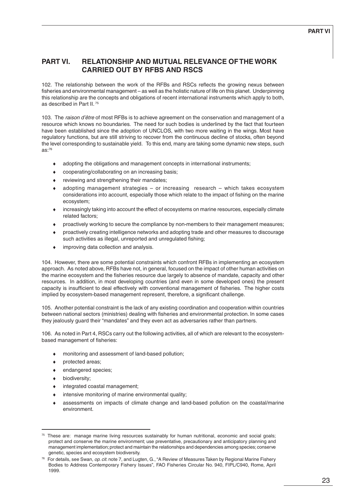# **PART VI. RELATIONSHIP AND MUTUAL RELEVANCE OF THE WORK CARRIED OUT BY RFBS AND RSCS**

102. The relationship between the work of the RFBs and RSCs reflects the growing nexus between fisheries and environmental management – as well as the holistic nature of life on this planet. Underpinning this relationship are the concepts and obligations of recent international instruments which apply to both, as described in Part II. 75

103. The raison d'être of most RFBs is to achieve agreement on the conservation and management of a resource which knows no boundaries. The need for such bodies is underlined by the fact that fourteen have been established since the adoption of UNCLOS, with two more waiting in the wings. Most have regulatory functions, but are still striving to recover from the continuous decline of stocks, often beyond the level corresponding to sustainable yield. To this end, many are taking some dynamic new steps, such as:76

- adopting the obligations and management concepts in international instruments;
- cooperating/collaborating on an increasing basis;
- reviewing and strengthening their mandates;
- adopting management strategies or increasing research which takes ecosystem considerations into account, especially those which relate to the impact of fishing on the marine ecosystem;
- ♦ increasingly taking into account the effect of ecosystems on marine resources, especially climate related factors;
- ♦ proactively working to secure the compliance by non-members to their management measures;
- proactively creating intelligence networks and adopting trade and other measures to discourage such activities as illegal, unreported and unregulated fishing;
- ♦ improving data collection and analysis.

104. However, there are some potential constraints which confront RFBs in implementing an ecosystem approach. As noted above, RFBs have not, in general, focused on the impact of other human activities on the marine ecosystem and the fisheries resource due largely to absence of mandate, capacity and other resources. In addition, in most developing countries (and even in some developed ones) the present capacity is insufficient to deal effectively with conventional management of fisheries. The higher costs implied by ecosystem-based management represent, therefore, a significant challenge.

105. Another potential constraint is the lack of any existing coordination and cooperation within countries between national sectors (ministries) dealing with fisheries and environmental protection. In some cases they jealously guard their "mandates" and they even act as adversaries rather than partners.

106. As noted in Part 4, RSCs carry out the following activities, all of which are relevant to the ecosystembased management of fisheries:

- monitoring and assessment of land-based pollution;
- ♦ protected areas;
- endangered species;
- ♦ biodiversity;
- ♦ integrated coastal management;
- ♦ intensive monitoring of marine environmental quality;
- assessments on impacts of climate change and land-based pollution on the coastal/marine environment.

 $75$  These are: manage marine living resources sustainably for human nutritional, economic and social goals; protect and conserve the marine environment; use preventative, precautionary and anticipatory planning and management implementation; protect and maintain the relationships and dependencies among species; conserve genetic, species and ecosystem biodiversity.

<sup>&</sup>lt;sup>76</sup> For details, see Swan, op. cit. note 7, and Lugten, G., "A Review of Measures Taken by Regional Marine Fishery Bodies to Address Contemporary Fishery Issues", FAO Fisheries Circular No. 940, FIPL/C940, Rome, April 1999.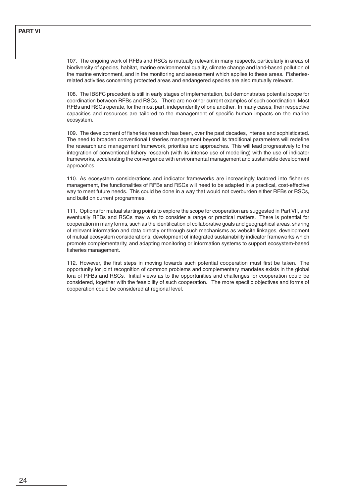107. The ongoing work of RFBs and RSCs is mutually relevant in many respects, particularly in areas of biodiversity of species, habitat, marine environmental quality, climate change and land-based pollution of the marine environment, and in the monitoring and assessment which applies to these areas. Fisheriesrelated activities concerning protected areas and endangered species are also mutually relevant.

108. The IBSFC precedent is still in early stages of implementation, but demonstrates potential scope for coordination between RFBs and RSCs. There are no other current examples of such coordination. Most RFBs and RSCs operate, for the most part, independently of one another. In many cases, their respective capacities and resources are tailored to the management of specific human impacts on the marine ecosystem.

109. The development of fisheries research has been, over the past decades, intense and sophisticated. The need to broaden conventional fisheries management beyond its traditional parameters will redefine the research and management framework, priorities and approaches. This will lead progressively to the integration of conventional fishery research (with its intense use of modelling) with the use of indicator frameworks, accelerating the convergence with environmental management and sustainable development approaches.

110. As ecosystem considerations and indicator frameworks are increasingly factored into fisheries management, the functionalities of RFBs and RSCs will need to be adapted in a practical, cost-effective way to meet future needs. This could be done in a way that would not overburden either RFBs or RSCs, and build on current programmes.

111. Options for mutual starting points to explore the scope for cooperation are suggested in Part VII, and eventually RFBs and RSCs may wish to consider a range or practical matters. There is potential for cooperation in many forms, such as the identification of collaborative goals and geographical areas, sharing of relevant information and data directly or through such mechanisms as website linkages, development of mutual ecosystem considerations, development of integrated sustainability indicator frameworks which promote complementarity, and adapting monitoring or information systems to support ecosystem-based fisheries management.

112. However, the first steps in moving towards such potential cooperation must first be taken. The opportunity for joint recognition of common problems and complementary mandates exists in the global fora of RFBs and RSCs. Initial views as to the opportunities and challenges for cooperation could be considered, together with the feasibility of such cooperation. The more specific objectives and forms of cooperation could be considered at regional level.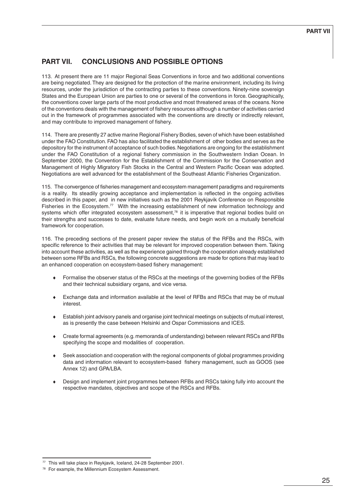# **PART VII. CONCLUSIONS AND POSSIBLE OPTIONS**

113. At present there are 11 major Regional Seas Conventions in force and two additional conventions are being negotiated. They are designed for the protection of the marine environment, including its living resources, under the jurisdiction of the contracting parties to these conventions. Ninety-nine sovereign States and the European Union are parties to one or several of the conventions in force. Geographically, the conventions cover large parts of the most productive and most threatened areas of the oceans. None of the conventions deals with the management of fishery resources although a number of activities carried out in the framework of programmes associated with the conventions are directly or indirectly relevant, and may contribute to improved management of fishery.

114. There are presently 27 active marine Regional Fishery Bodies, seven of which have been established under the FAO Constitution. FAO has also facilitated the establishment of other bodies and serves as the depository for the instrument of acceptance of such bodies. Negotiations are ongoing for the establishment under the FAO Constitution of a regional fishery commission in the Southwestern Indian Ocean. In September 2000, the Convention for the Establishment of the Commission for the Conservation and Management of Highly Migratory Fish Stocks in the Central and Western Pacific Ocean was adopted. Negotiations are well advanced for the establishment of the Southeast Atlantic Fisheries Organization.

115. The convergence of fisheries management and ecosystem management paradigms and requirements is a reality. Its steadily growing acceptance and implementation is reflected in the ongoing activities described in this paper, and in new initiatives such as the 2001 Reykjavik Conference on Responsible Fisheries in the Ecosystem.<sup>77</sup> With the increasing establishment of new information technology and systems which offer integrated ecosystem assessment, $78$  it is imperative that regional bodies build on their strengths and successes to date, evaluate future needs, and begin work on a mutually beneficial framework for cooperation.

116. The preceding sections of the present paper review the status of the RFBs and the RSCs, with specific reference to their activities that may be relevant for improved cooperation between them. Taking into account these activities, as well as the experience gained through the cooperation already established between some RFBs and RSCs, the following concrete suggestions are made for options that may lead to an enhanced cooperation on ecosystem-based fishery management:

- ♦ Formalise the observer status of the RSCs at the meetings of the governing bodies of the RFBs and their technical subsidiary organs, and vice versa.
- ♦ Exchange data and information available at the level of RFBs and RSCs that may be of mutual interest.
- ♦ Establish joint advisory panels and organise joint technical meetings on subjects of mutual interest, as is presently the case between Helsinki and Ospar Commissions and ICES.
- ♦ Create formal agreements (e.g. memoranda of understanding) between relevant RSCs and RFBs specifying the scope and modalities of cooperation.
- Seek association and cooperation with the regional components of global programmes providing data and information relevant to ecosystem-based fishery management, such as GOOS (see Annex 12) and GPA/LBA.
- ♦ Design and implement joint programmes between RFBs and RSCs taking fully into account the respective mandates, objectives and scope of the RSCs and RFBs.

 $77$  This will take place in Reykjavik, Iceland, 24-28 September 2001.

<sup>78</sup> For example, the Millennium Ecosystem Assessment.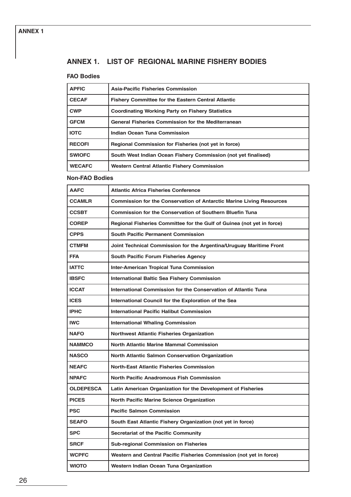# **ANNEX 1. LIST OF REGIONAL MARINE FISHERY BODIES**

# **FAO Bodies**

| <b>APFIC</b>  | Asia-Pacific Fisheries Commission                              |
|---------------|----------------------------------------------------------------|
| <b>CECAF</b>  | <b>Fishery Committee for the Eastern Central Atlantic</b>      |
| <b>CWP</b>    | <b>Coordinating Working Party on Fishery Statistics</b>        |
| <b>GFCM</b>   | <b>General Fisheries Commission for the Mediterranean</b>      |
| <b>IOTC</b>   | Indian Ocean Tuna Commission                                   |
| <b>RECOFI</b> | Regional Commission for Fisheries (not yet in force)           |
| <b>SWIOFC</b> | South West Indian Ocean Fishery Commission (not yet finalised) |
| <b>WECAFC</b> | Western Central Atlantic Fishery Commission                    |

# **Non-FAO Bodies**

| <b>AAFC</b>      | <b>Atlantic Africa Fisheries Conference</b>                                 |
|------------------|-----------------------------------------------------------------------------|
| <b>CCAMLR</b>    | <b>Commission for the Conservation of Antarctic Marine Living Resources</b> |
| <b>CCSBT</b>     | Commission for the Conservation of Southern Bluefin Tuna                    |
| <b>COREP</b>     | Regional Fisheries Committee for the Gulf of Guinea (not yet in force)      |
| <b>CPPS</b>      | <b>South Pacific Permanent Commission</b>                                   |
| <b>CTMFM</b>     | Joint Technical Commission for the Argentina/Uruguay Maritime Front         |
| <b>FFA</b>       | <b>South Pacific Forum Fisheries Agency</b>                                 |
| <b>IATTC</b>     | <b>Inter-American Tropical Tuna Commission</b>                              |
| <b>IBSFC</b>     | <b>International Baltic Sea Fishery Commission</b>                          |
| <b>ICCAT</b>     | International Commission for the Conservation of Atlantic Tuna              |
| <b>ICES</b>      | International Council for the Exploration of the Sea                        |
| <b>IPHC</b>      | <b>International Pacific Halibut Commission</b>                             |
| <b>IWC</b>       | <b>International Whaling Commission</b>                                     |
| <b>NAFO</b>      | <b>Northwest Atlantic Fisheries Organization</b>                            |
| <b>NAMMCO</b>    | <b>North Atlantic Marine Mammal Commission</b>                              |
| <b>NASCO</b>     | <b>North Atlantic Salmon Conservation Organization</b>                      |
| <b>NEAFC</b>     | <b>North-East Atlantic Fisheries Commission</b>                             |
| <b>NPAFC</b>     | <b>North Pacific Anadromous Fish Commission</b>                             |
| <b>OLDEPESCA</b> | Latin American Organization for the Development of Fisheries                |
| <b>PICES</b>     | <b>North Pacific Marine Science Organization</b>                            |
| <b>PSC</b>       | <b>Pacific Salmon Commission</b>                                            |
| <b>SEAFO</b>     | South East Atlantic Fishery Organization (not yet in force)                 |
| <b>SPC</b>       | <b>Secretariat of the Pacific Community</b>                                 |
| <b>SRCF</b>      | <b>Sub-regional Commission on Fisheries</b>                                 |
| <b>WCPFC</b>     | Western and Central Pacific Fisheries Commission (not yet in force)         |
| <b>WIOTO</b>     | Western Indian Ocean Tuna Organization                                      |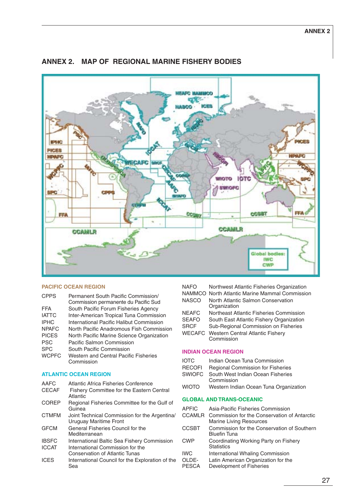

# **ANNEX 2. MAP OF REGIONAL MARINE FISHERY BODIES**

#### **PACIFIC OCEAN REGION**

| <b>CPPS</b>  | Permanent South Pacific Commission/<br>Commission permanente du Pacific Sud |
|--------------|-----------------------------------------------------------------------------|
| <b>FFA</b>   | South Pacific Forum Fisheries Agency                                        |
| <b>IATTC</b> | Inter-American Tropical Tuna Commission                                     |
| <b>IPHC</b>  | International Pacific Halibut Commission                                    |
| <b>NPAFC</b> | North Pacific Anadromous Fish Commission                                    |
| <b>PICES</b> | North Pacific Marine Science Organization                                   |
| <b>PSC</b>   | Pacific Salmon Commission                                                   |
| <b>SPC</b>   | South Pacific Commission                                                    |
| <b>WCPFC</b> | Western and Central Pacific Fisheries<br>Commission                         |

#### **ATLANTIC OCEAN REGION**

AAFC Atlantic Africa Fisheries Conference

| <b>CECAF</b> | Fishery Committee for the Eastern Central<br>Atlantic                   |
|--------------|-------------------------------------------------------------------------|
| <b>COREP</b> | Regional Fisheries Committee for the Gulf of<br>Guinea                  |
| <b>CTMFM</b> | Joint Technical Commission for the Argentina/<br>Uruguay Maritime Front |
| <b>GFCM</b>  | General Fisheries Council for the<br>Mediterranean                      |
| <b>IBSFC</b> | International Baltic Sea Fishery Commission                             |
| <b>ICCAT</b> | International Commission for the<br>Conservation of Atlantic Tunas      |
| <b>ICES</b>  | International Council for the Exploration of the<br>Sea                 |

| <b>NAFO</b>  | Northwest Atlantic Fisheries Organization          |
|--------------|----------------------------------------------------|
|              | NAMMCO North Atlantic Marine Mammal Commission     |
| <b>NASCO</b> | North Atlantic Salmon Conservation<br>Organization |
| <b>NEAFC</b> | Northeast Atlantic Fisheries Commission            |
| <b>SEAFO</b> | South East Atlantic Fishery Organization           |
| <b>SRCF</b>  | Sub-Regional Commission on Fisheries               |
|              | <b>WECAFC</b> Western Central Atlantic Fishery     |
|              | Commission                                         |
|              |                                                    |

## **INDIAN OCEAN REGION**

- IOTC Indian Ocean Tuna Commission<br>RECOFI Regional Commission for Fisher
- Regional Commission for Fisheries
- SWIOFC South West Indian Ocean Fisheries Commission
- WIOTO Western Indian Ocean Tuna Organization

#### **GLOBAL AND TRANS-OCEANIC**

| <b>APFIC</b><br><b>CCAMLR</b> | Asia-Pacific Fisheries Commission<br>Commission for the Conservation of Antarctic |
|-------------------------------|-----------------------------------------------------------------------------------|
| <b>CCSBT</b>                  | <b>Marine Living Resources</b><br>Commission for the Conservation of Southern     |
|                               | <b>Bluefin Tuna</b>                                                               |
| <b>CWP</b>                    | Coordinating Working Party on Fishery<br><b>Statistics</b>                        |
| <b>IWC</b>                    | International Whaling Commission                                                  |
| OLDE-<br><b>PESCA</b>         | Latin American Organization for the<br>Development of Fisheries                   |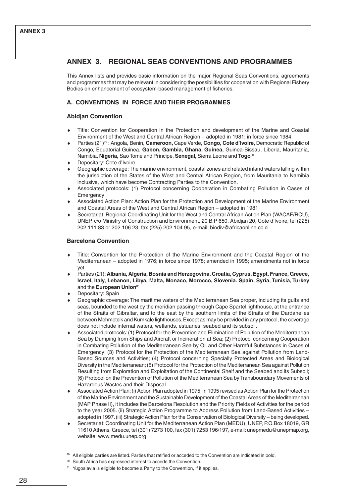# **ANNEX 3. REGIONAL SEAS CONVENTIONS AND PROGRAMMES**

This Annex lists and provides basic information on the major Regional Seas Conventions, agreements and programmes that may be relevant in considering the possibilities for cooperation with Regional Fishery Bodies on enhancement of ecosystem-based management of fisheries.

# **A. CONVENTIONS IN FORCE AND THEIR PROGRAMMES**

## **Abidjan Convention**

- Title: Convention for Cooperation in the Protection and development of the Marine and Coastal Environment of the West and Central African Region – adopted in 1981; in force since 1984
- ♦ Parties (21)79 : Angola, Benin, **Cameroon,** Cape Verde, **Congo, Cote d'Ivoire,** Democratic Republic of Congo, Equatorial Guinea, **Gabon, Gambia, Ghana, Guinea,** Guinea-Bissau, Liberia, Mauritania, Namibia, **Nigeria,** Sao Tome and Principe, **Senegal,** Sierra Leone and **Togo**<sup>80</sup>
- Depositary: Cote d'Ivoire
- Geographic coverage: The marine environment, coastal zones and related inland waters falling within the jurisdiction of the States of the West and Central African Region, from Mauritania to Namibia inclusive, which have become Contracting Parties to the Convention.
- Associated protocols: (1) Protocol concerning Cooperation in Combating Pollution in Cases of **Emergency**
- Associated Action Plan: Action Plan for the Protection and Development of the Marine Environment and Coastal Areas of the West and Central African Region – adopted in 1981
- Secretariat: Regional Coordinating Unit for the West and Central African Action Plan (WACAF/RCU), UNEP, c/o Ministry of Construction and Environment, 20 B.P 650, Abidjan 20, Cote d'Ivoire, tel (225) 202 111 83 or 202 106 23, fax (225) 202 104 95, e-mail: biodiv@africaonline.co.ci

### **Barcelona Convention**

- Title: Convention for the Protection of the Marine Environment and the Coastal Region of the Mediterranean – adopted in 1976; in force since 1978; amended in 1995; amendments not in force yet
- Parties (21): Albania, Algeria, Bosnia and Herzegovina, Croatia, Cyprus, Egypt, France, Greece, **Israel, Italy, Lebanon, Libya, Malta, Monaco, Morocco, Slovenia. Spain, Syria, Tunisia, Turkey** and the **European Union**<sup>81</sup>
- Depositary: Spain
- Geographic coverage: The maritime waters of the Mediterranean Sea proper, including its gulfs and seas, bounded to the west by the meridian passing through Cape Spartel lighthouse, at the entrance of the Straits of Gibraltar, and to the east by the southern limits of the Straits of the Dardanelles between Mehmetcik and Kumkale lighthouses. Except as may be provided in any protocol, the coverage does not include internal waters, wetlands, estuaries, seabed and its subsoil.
- Associated protocols: (1) Protocol for the Prevention and Elimination of Pollution of the Mediterranean Sea by Dumping from Ships and Aircraft or Incineration at Sea; (2) Protocol concerning Cooperation in Combating Pollution of the Mediterranean Sea by Oil and Other Harmful Substances in Cases of Emergency; (3) Protocol for the Protection of the Mediterranean Sea against Pollution from Land-Based Sources and Activities; (4) Protocol concerning Specially Protected Areas and Biological Diversity in the Mediterranean; (5) Protocol for the Protection of the Mediterranean Sea against Pollution Resulting from Exploration and Exploitation of the Continental Shelf and the Seabed and its Subsoil; (6) Protocol on the Prevention of Pollution of the Mediterranean Sea by Transboundary Movements of Hazardous Wastes and their Disposal
- Associated Action Plan: (i) Action Plan adopted in 1975; in 1995 revised as Action Plan for the Protection of the Marine Environment and the Sustainable Development of the Coastal Areas of the Mediterranean (MAP Phase II), it includes the Barcelona Resolution and the Priority Fields of Activities for the period to the year 2005. (ii) Strategic Action Programme to Address Pollution from Land-Based Activities – adopted in 1997. (iii) Strategic Action Plan for the Conservation of Biological Diversity – being developed.
- Secretariat: Coordinating Unit for the Mediterranean Action Plan (MEDU), UNEP, P.O.Box 18019, GR 11610 Athens, Greece, tel (301) 7273 100, fax (301) 7253 196/197, e-mail: unepmedu@unepmap.org, website: www.medu.unep.org

 $79$  All eligible parties are listed. Parties that ratified or acceded to the Convention are indicated in bold.

<sup>80</sup> South Africa has expressed interest to accede the Convention.

<sup>81</sup> Yugoslavia is eligible to become a Party to the Convention, if it applies.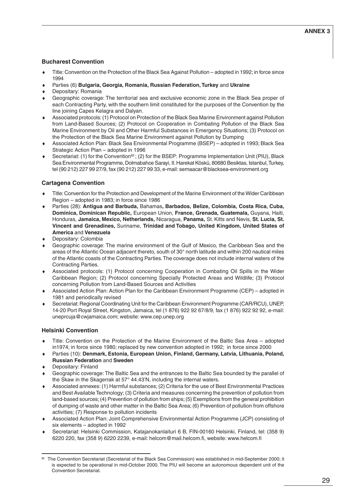# **Bucharest Convention**

- Title: Convention on the Protection of the Black Sea Against Pollution adopted in 1992; in force since 1994
- ♦ Parties (6) **Bulgaria, Georgia, Romania, Russian Federation, Turkey** and **Ukraine**
- Depositary: Romania
- Geographic coverage: The territorial sea and exclusive economic zone in the Black Sea proper of each Contracting Party, with the southern limit constituted for the purposes of the Convention by the line joining Capes Kelagra and Dalyan.
- Associated protocols: (1) Protocol on Protection of the Black Sea Marine Environment against Pollution from Land-Based Sources; (2) Protocol on Cooperation in Combating Pollution of the Black Sea Marine Environment by Oil and Other Harmful Substances in Emergency Situations; (3) Protocol on the Protection of the Black Sea Marine Environment against Pollution by Dumping
- ♦ Associated Action Plan: Black Sea Environmental Programme (BSEP) adopted in 1993; Black Sea Strategic Action Plan – adopted in 1996
- Secretariat: (1) for the Convention<sup>82</sup>; (2) for the BSEP: Programme Implementation Unit (PIU), Black Sea Environmental Programme, Dolmabahce Sarayi, II. Harekat Köskü, 80680 Besiktas, Istanbul, Turkey, tel (90 212) 227 99 27/9, fax (90 212) 227 99 33, e-mail: semaacar@blacksea-environment.org

# **Cartagena Convention**

- Title: Convention for the Protection and Development of the Marine Environment of the Wider Caribbean Region – adopted in 1983; in force since 1986
- ♦ Parties (28): **Antigua and Barbuda,** Bahamas**, Barbados, Belize, Colombia, Costa Rica, Cuba, Dominica, Dominican Republic,** European Union, **France, Grenada, Guatemala,** Guyana, Haiti, Honduras, **Jamaica, Mexico, Netherlands,** Nicaragua, **Panama,** St. Kitts and Nevis, **St. Lucia, St. Vincent and Grenadines,** Suriname, **Trinidad and Tobago, United Kingdom, United States of America** and **Venezuela**
- Depositary: Colombia
- Geographic coverage: The marine environment of the Gulf of Mexico, the Caribbean Sea and the areas of the Atlantic Ocean adjacent thereto, south of 30° north latitude and within 200 nautical miles of the Atlantic coasts of the Contracting Parties. The coverage does not include internal waters of the Contracting Parties.
- Associated protocols: (1) Protocol concerning Cooperation in Combating Oil Spills in the Wider Caribbean Region; (2) Protocol concerning Specially Protected Areas and Wildlife; (3) Protocol concerning Pollution from Land-Based Sources and Activities
- Associated Action Plan: Action Plan for the Caribbean Environment Programme (CEP) adopted in 1981 and periodically revised
- Secretariat: Regional Coordinating Unit for the Caribbean Environment Programme (CAR/RCU), UNEP, 14-20 Port Royal Street, Kingston, Jamaica, tel (1 876) 922 92 67/8/9, fax (1 876) 922 92 92, e-mail: uneprcuja@cwjamaica.com; website: www.cep.unep.org

# **Helsinki Convention**

- Title: Convention on the Protection of the Marine Environment of the Baltic Sea Area adopted in1974; in force since 1980; replaced by new convention adopted in 1992; in force since 2000
- ♦ Parties (10): **Denmark, Estonia, European Union, Finland, Germany, Latvia, Lithuania, Poland, Russian Federation** and **Sweden**
- Depositary: Finland
- Geographic coverage: The Baltic Sea and the entrances to the Baltic Sea bounded by the parallel of the Skaw in the Skagerrak at 57° 44.43'N, including the internal waters.
- Associated annexes: (1) Harmful substances; (2) Criteria for the use of Best Environmental Practices and Best Available Technology; (3) Criteria and measures concerning the prevention of pollution from land-based sources; (4) Prevention of pollution from ships; (5) Exemptions from the general prohibition of dumping of waste and other matter in the Baltic Sea Area; (6) Prevention of pollution from offshore activities; (7) Response to pollution incidents
- Associated Action Plan: Joint Comprehensive Environmental Action Programme (JCP) consisting of six elements – adopted in 1992
- ♦ Secretariat: Helsinki Commission, Katajanokanlaituri 6 B, FIN-00160 Helsinki, Finland, tel: (358 9) 6220 220, fax (358 9) 6220 2239, e-mail: helcom@mail.helcom.fi, website: www.helcom.fi

<sup>82</sup> The Convention Secretariat (Secretariat of the Black Sea Commission) was established in mid-September 2000; it is expected to be operational in mid-October 2000. The PIU will become an autonomous dependent unit of the Convention Secretariat.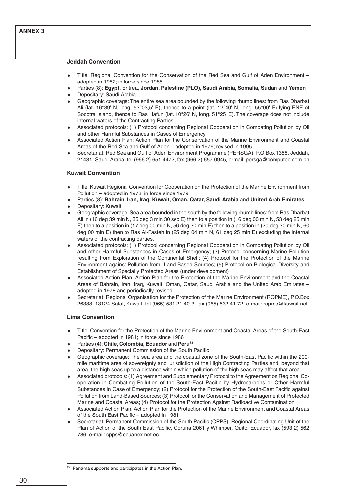## **ANNEX 3**

#### **Jeddah Convention**

- Title: Regional Convention for the Conservation of the Red Sea and Gulf of Aden Environment adopted in 1982; in force since 1985
- ♦ Parties (8): **Egypt,** Eritrea, **Jordan, Palestine (PLO), Saudi Arabia, Somalia, Sudan** and **Yemen**
- Depositary: Saudi Arabia
- Geographic coverage: The entire sea area bounded by the following rhumb lines: from Ras Dharbat Ali (lat. 16°39' N, long. 53°03,5' E), thence to a point (lat. 12°40' N, long. 55°00' E) lying ENE of Socotra Island, thence to Ras Hafun (lat. 10°26' N, long. 51°25' E). The coverage does not include internal waters of the Contracting Parties.
- ♦ Associated protocols: (1) Protocol concerning Regional Cooperation in Combating Pollution by Oil and other Harmful Substances in Cases of Emergency
- Associated Action Plan: Action Plan for the Conservation of the Marine Environment and Coastal Areas of the Red Sea and Gulf of Aden – adopted in 1976; revised in 1995
- Secretariat: Red Sea and Gulf of Aden Environment Programme (PERSGA), P.O.Box 1358, Jeddah, 21431, Saudi Araba, tel (966 2) 651 4472, fax (966 2) 657 0945, e-mail: persga@computec.com.bh

#### **Kuwait Convention**

- Title: Kuwait Regional Convention for Cooperation on the Protection of the Marine Environment from Pollution – adopted in 1978; in force since 1979
- ♦ Parties (8): **Bahrain, Iran, Iraq, Kuwait, Oman, Qatar, Saudi Arabia** and **United Arab Emirates**
- Depositary: Kuwait
- Geographic coverage: Sea area bounded in the south by the following rhumb lines: from Ras Dharbat Ali in (16 deg 39 min N, 35 deg 3 min 30 sec E) then to a position in (16 deg 00 min N, 53 deg 25 min E) then to a position in (17 deg 00 min N, 56 deg 30 min E) then to a position in (20 deg 30 min N, 60 deg 00 min E) then to Ras Al-Fasteh in (25 deg 04 min N, 61 deg 25 min E) excluding the internal waters of the contracting parties.
- ♦ Associated protocols: (1) Protocol concerning Regional Cooperation in Combating Pollution by Oil and other Harmful Substances in Cases of Emergency; (3) Protocol concerning Marine Pollution resulting from Exploration of the Continental Shelf; (4) Protocol for the Protection of the Marine Environment against Pollution from Land Based Sources; (5) Protocol on Biological Diversity and Establishment of Specially Protected Areas (under development)
- Associated Action Plan: Action Plan for the Protection of the Marine Environment and the Coastal Areas of Bahrain, Iran, Iraq, Kuwait, Oman, Qatar, Saudi Arabia and the United Arab Emirates – adopted in 1978 and periodically revised
- Secretariat: Regional Organisation for the Protection of the Marine Environment (ROPME), P.O.Box 26388, 13124 Safat, Kuwait, tel (965) 531 21 40-3, fax (965) 532 41 72, e-mail: ropme@kuwait.net

#### **Lima Convention**

- Title: Convention for the Protection of the Marine Environment and Coastal Areas of the South-East Pacific – adopted in 1981; in force since 1986
- ♦ Parties (4): **Chile, Colombia, Ecuador** and **Peru**<sup>83</sup>
- Depositary: Permanent Commission of the South Pacific
- Geographic coverage: The sea area and the coastal zone of the South-East Pacific within the 200mile maritime area of sovereignty and jurisdiction of the High Contracting Parties and, beyond that area, the high seas up to a distance within which pollution of the high seas may affect that area.
- Associated protocols: (1) Agreement and Supplementary Protocol to the Agreement on Regional Cooperation in Combating Pollution of the South-East Pacific by Hydrocarbons or Other Harmful Substances in Case of Emergency; (2) Protocol for the Protection of the South-East Pacific against Pollution from Land-Based Sources; (3) Protocol for the Conservation and Management of Protected Marine and Coastal Areas; (4) Protocol for the Protection Against Radioactive Contamination
- Associated Action Plan: Action Plan for the Protection of the Marine Environment and Coastal Areas of the South East Pacific – adopted in 1981
- Secretariat: Permanent Commission of the South Pacific (CPPS), Regional Coordinating Unit of the Plan of Action of the South East Pacific, Coruna 2061 y Whimper, Quito, Ecuador, fax (593 2) 562 786, e-mail: cpps@ecuanex.net.ec

Panama supports and participates in the Action Plan.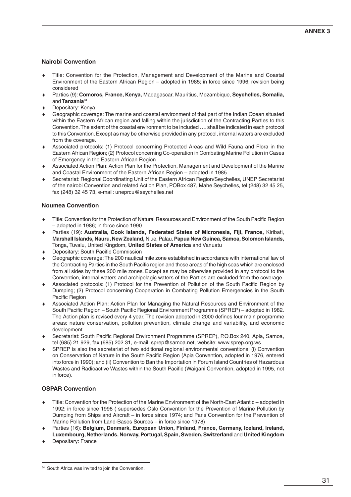## **Nairobi Convention**

- Title: Convention for the Protection, Management and Development of the Marine and Coastal Environment of the Eastern African Region – adopted in 1985; in force since 1996; revision being considered
- ♦ Parties (9): **Comoros, France, Kenya,** Madagascar, Mauritius, Mozambique, **Seychelles, Somalia,** and **Tanzania**<sup>84</sup>
- Depositary: Kenya
- Geographic coverage: The marine and coastal environment of that part of the Indian Ocean situated within the Eastern African region and falling within the jurisdiction of the Contracting Parties to this Convention. The extent of the coastal environment to be included …. shall be indicated in each protocol to this Convention. Except as may be otherwise provided in any protocol, internal waters are excluded from the coverage.
- Associated protocols: (1) Protocol concerning Protected Areas and Wild Fauna and Flora in the Eastern African Region; (2) Protocol concerning Co-operation in Combating Marine Pollution in Cases of Emergency in the Eastern African Region
- Associated Action Plan: Action Plan for the Protection, Management and Development of the Marine and Coastal Environment of the Eastern African Region – adopted in 1985
- Secretariat: Regional Coordinating Unit of the Eastern African Region/Seychelles, UNEP Secretariat of the nairobi Convention and related Action Plan, POBox 487, Mahe Seychelles, tel (248) 32 45 25, fax (248) 32 45 73, e-mail: uneprcu@seychelles.net

#### **Noumea Convention**

- Title: Convention for the Protection of Natural Resources and Environment of the South Pacific Region – adopted in 1986; in force since 1990
- ♦ Parties (19): **Australia, Cook Islands, Federated States of Micronesia, Fiji, France,** Kiribati, **Marshall Islands, Nauru, New Zealand,** Niue, Palau, **Papua New Guinea, Samoa, Solomon Islands,** Tonga, Tuvalu, United Kingdom, **United States of America** and Vanuatu
- Depositary: South Pacific Commission
- Geographic coverage: The 200 nautical mile zone established in accordance with international law of the Contracting Parties in the South Pacific region and those areas of the high seas which are enclosed from all sides by these 200 mile zones. Except as may be otherwise provided in any protocol to the Convention, internal waters and archipelagic waters of the Parties are excluded from the coverage.
- Associated protocols: (1) Protocol for the Prevention of Pollution of the South Pacific Region by Dumping; (2) Protocol concerning Cooperation in Combating Pollution Emergencies in the South Pacific Region
- Associated Action Plan: Action Plan for Managing the Natural Resources and Environment of the South Pacific Region – South Pacific Regional Environment Programme (SPREP) – adopted in 1982. The Action plan is revised every 4 year. The revision adopted in 2000 defines four main programme areas: nature conservation, pollution prevention, climate change and variability, and economic development.
- Secretariat: South Pacific Regional Environment Programme (SPREP), P.O.Box 240, Apia, Samoa, tel (685) 21 929, fax (685) 202 31, e-mail: sprep@samoa.net, website: www.sprep.org.ws
- SPREP is also the secretariat of two additional regional environmental conventions: (i) Convention on Conservation of Nature in the South Pacific Region (Apia Convention, adopted in 1976, entered into force in 1990); and (ii) Convention to Ban the Importation in Forum Island Countries of Hazardous Wastes and Radioactive Wastes within the South Pacific (Waigani Convention, adopted in 1995, not in force).

# **OSPAR Convention**

- Title: Convention for the Protection of the Marine Environment of the North-East Atlantic adopted in 1992; in force since 1998 ( supersedes Oslo Convention for the Prevention of Marine Pollution by Dumping from Ships and Aircraft – in force since 1974; and Paris Convention for the Prevention of Marine Pollution from Land-Bases Sources – in force since 1978)
- Parties (16): Belgium, Denmark, European Union, Finland, France, Germany, Iceland, Ireland, **Luxembourg, Netherlands, Norway, Portugal, Spain, Sweden, Switzerland** and **United Kingdom**
- Depositary: France

<sup>84</sup> South Africa was invited to join the Convention.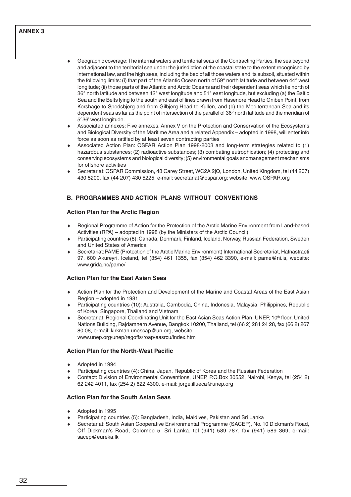## **ANNEX 3**

- Geographic coverage: The internal waters and territorial seas of the Contracting Parties, the sea beyond and adjacent to the territorial sea under the jurisdiction of the coastal state to the extent recognised by international law, and the high seas, including the bed of all those waters and its subsoil, situated within the following limits: (i) that part of the Atlantic Ocean north of 59° north latitude and between 44° west longitude; (ii) those parts of the Atlantic and Arctic Oceans and their dependent seas which lie north of 36° north latitude and between 42° west longitude and 51° east longitude, but excluding (a) the Baltic Sea and the Belts lying to the south and east of lines drawn from Hasenore Head to Gniben Point, from Korshage to Spodsbjerg and from Gilbjerg Head to Kullen, and (b) the Mediterranean Sea and its dependent seas as far as the point of intersection of the parallel of 36° north latitude and the meridian of 5°36' west longitude.
- Associated annexes: Five annexes. Annex V on the Protection and Conservation of the Ecosystems and Biological Diversity of the Maritime Area and a related Appendix – adopted in 1998, will enter info force as soon as ratified by at least seven contracting parties
- Associated Action Plan: OSPAR Action Plan 1998-2003 and long-term strategies related to (1) hazardous substances; (2) radioactive substances; (3) combating eutrophication; (4) protecting and conserving ecosystems and biological diversity; (5) environmental goals andmanagement mechanisms for offshore activities
- ♦ Secretariat: OSPAR Commission, 48 Carey Street, WC2A 2jQ, London, United Kingdom, tel (44 207) 430 5200, fax (44 207) 430 5225, e-mail: secretariat@ospar.org; website: www.OSPAR.org

# **B. PROGRAMMES AND ACTION PLANS WITHOUT CONVENTIONS**

### **Action Plan for the Arctic Region**

- ♦ Regional Programme of Action for the Protection of the Arctic Marine Environment from Land-based Activities (RPA) – adopted in 1998 (by the Ministers of the Arctic Council)
- Participating countries (8): Canada, Denmark, Finland, Iceland, Norway, Russian Federation, Sweden and United States of America
- Secretariat: PAME (Protection of the Arctic Marine Environment) International Secretariat, Hafnastraeti 97, 600 Akureyri, Iceland, tel (354) 461 1355, fax (354) 462 3390, e-mail: pame@ni.is, website: www.grida.no/pame/

# **Action Plan for the East Asian Seas**

- Action Plan for the Protection and Development of the Marine and Coastal Areas of the East Asian Region – adopted in 1981
- ♦ Participating countries (10): Australia, Cambodia, China, Indonesia, Malaysia, Philippines, Republic of Korea, Singapore, Thailand and Vietnam
- Secretariat: Regional Coordinating Unit for the East Asian Seas Action Plan, UNEP, 10<sup>th</sup> floor, United Nations Building, Rajdamnern Avenue, Bangkok 10200, Thailand, tel (66 2) 281 24 28, fax (66 2) 267 80 08, e-mail: kirkman.unescap@un.org, website: www.unep.org/unep/regoffs/roap/easrcu/index.htm

#### **Action Plan for the North-West Pacific**

- Adopted in 1994
- Participating countries (4): China, Japan, Republic of Korea and the Russian Federation
- Contact: Division of Environmental Conventions, UNEP, P.O.Box 30552, Nairobi, Kenya, tel (254 2) 62 242 4011, fax (254 2) 622 4300, e-mail: jorge.illueca@unep.org

#### **Action Plan for the South Asian Seas**

- Adopted in 1995
- Participating countries (5): Bangladesh, India, Maldives, Pakistan and Sri Lanka
- Secretariat: South Asian Cooperative Environmental Programme (SACEP), No. 10 Dickman's Road, Off Dickman's Road, Colombo 5, Sri Lanka, tel (941) 589 787, fax (941) 589 369, e-mail: sacep@eureka.lk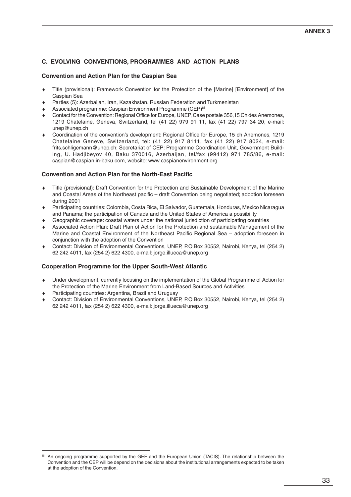# **C. EVOLVING CONVENTIONS, PROGRAMMES AND ACTION PLANS**

### **Convention and Action Plan for the Caspian Sea**

- Title (provisional): Framework Convention for the Protection of the [Marine] [Environment] of the Caspian Sea
- Parties (5): Azerbaijan, Iran, Kazakhstan. Russian Federation and Turkmenistan
- Associated programme: Caspian Environment Programme (CEP)<sup>85</sup>
- Contact for the Convention: Regional Office for Europe, UNEP, Case postale 356,15 Ch des Anemones, 1219 Chatelaine, Geneva, Switzerland, tel (41 22) 979 91 11, fax (41 22) 797 34 20, e-mail: unep@unep.ch
- ♦ Coordination of the convention's development: Regional Office for Europe, 15 ch Anemones, 1219 Chatelaine Geneve, Switzerland, tel: (41 22) 917 8111, fax (41 22) 917 8024, e-mail: frits.schligemann@unep.ch; Secretariat of CEP: Programme Coordination Unit, Government Building, U. Hadjibeyov 40, Baku 370016, Azerbaijan, tel/fax (99412) 971 785/86, e-mail: caspian@caspian.in-baku.com, website: www.caspianenvironment.org

### **Convention and Action Plan for the North-East Pacific**

- Title (provisional): Draft Convention for the Protection and Sustainable Development of the Marine and Coastal Areas of the Northeast pacific – draft Convention being negotiated; adoption foreseen during 2001
- Participating countries: Colombia, Costa Rica, El Salvador, Guatemala, Honduras, Mexico Nicaragua and Panama; the participation of Canada and the United States of America a possibility
- Geographic coverage: coastal waters under the national jurisdiction of participating countries
- Associated Action Plan: Draft Plan of Action for the Protection and sustainable Management of the Marine and Coastal Environment of the Northeast Pacific Regional Sea – adoption foreseen in conjunction with the adoption of the Convention
- Contact: Division of Environmental Conventions, UNEP, P.O.Box 30552, Nairobi, Kenya, tel (254 2) 62 242 4011, fax (254 2) 622 4300, e-mail: jorge.illueca@unep.org

# **Cooperation Programme for the Upper South-West Atlantic**

- Under development, currently focusing on the implementation of the Global Programme of Action for the Protection of the Marine Environment from Land-Based Sources and Activities
- Participating countries: Argentina, Brazil and Uruguay
- ♦ Contact: Division of Environmental Conventions, UNEP, P.O.Box 30552, Nairobi, Kenya, tel (254 2) 62 242 4011, fax (254 2) 622 4300, e-mail: jorge.illueca@unep.org

An ongoing programme supported by the GEF and the European Union (TACIS). The relationship between the Convention and the CEP will be depend on the decisions about the institutional arrangements expected to be taken at the adoption of the Convention.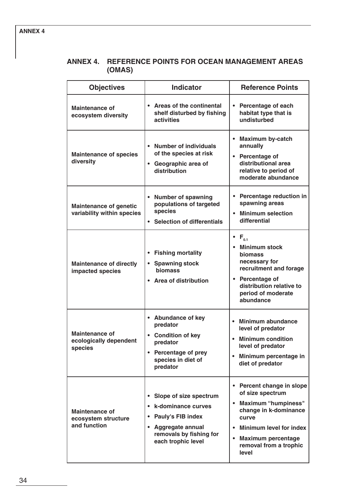# **ANNEX 4. REFERENCE POINTS FOR OCEAN MANAGEMENT AREAS (OMAS)**

| <b>Objectives</b>                                            | <b>Indicator</b>                                                                                                                                           | <b>Reference Points</b>                                                                                                                                                                                                                                           |
|--------------------------------------------------------------|------------------------------------------------------------------------------------------------------------------------------------------------------------|-------------------------------------------------------------------------------------------------------------------------------------------------------------------------------------------------------------------------------------------------------------------|
| <b>Maintenance of</b><br>ecosystem diversity                 | • Areas of the continental<br>shelf disturbed by fishing<br>activities                                                                                     | • Percentage of each<br>habitat type that is<br>undisturbed                                                                                                                                                                                                       |
| <b>Maintenance of species</b><br>diversity                   | Number of individuals<br>$\bullet$<br>of the species at risk<br>Geographic area of<br>$\bullet$<br>distribution                                            | <b>Maximum by-catch</b><br>٠<br>annually<br>• Percentage of<br>distributional area<br>relative to period of<br>moderate abundance                                                                                                                                 |
| <b>Maintenance of genetic</b><br>variability within species  | <b>Number of spawning</b><br>$\bullet$<br>populations of targeted<br>species<br><b>Selection of differentials</b><br>$\bullet$                             | • Percentage reduction in<br>spawning areas<br><b>Minimum selection</b><br>differential                                                                                                                                                                           |
| <b>Maintenance of directly</b><br>impacted species           | <b>Fishing mortality</b><br><b>Spawning stock</b><br>biomass<br><b>Area of distribution</b><br>$\bullet$                                                   | $\bullet$ F <sub>0.1</sub><br>• Minimum stock<br><b>biomass</b><br>necessary for<br>recruitment and forage<br>• Percentage of<br>distribution relative to<br>period of moderate<br>abundance                                                                      |
| <b>Maintenance of</b><br>ecologically dependent<br>species   | • Abundance of key<br>predator<br><b>Condition of key</b><br>$\bullet$<br>predator<br><b>Percentage of prey</b><br>species in diet of<br>predator          | Minimum abundance<br>$\bullet$<br>level of predator<br><b>Minimum condition</b><br>level of predator<br>Minimum percentage in<br>٠<br>diet of predator                                                                                                            |
| <b>Maintenance of</b><br>ecosystem structure<br>and function | Slope of size spectrum<br>k-dominance curves<br>Pauly's FIB index<br><b>Aggregate annual</b><br>$\bullet$<br>removals by fishing for<br>each trophic level | Percent change in slope<br>$\bullet$<br>of size spectrum<br><b>Maximum "humpiness"</b><br>$\bullet$<br>change in k-dominance<br>curve<br><b>Minimum level for index</b><br>$\bullet$<br><b>Maximum percentage</b><br>$\bullet$<br>removal from a trophic<br>level |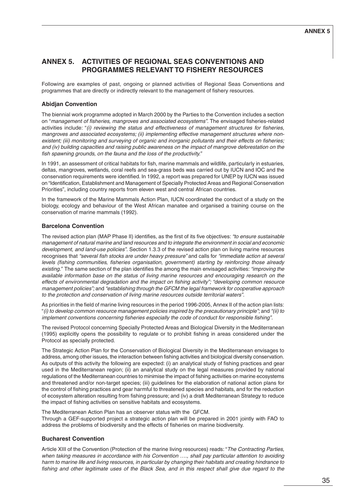# **ANNEX 5. ACTIVITIES OF REGIONAL SEAS CONVENTIONS AND PROGRAMMES RELEVANT TO FISHERY RESOURCES**

Following are examples of past, ongoing or planned activities of Regional Seas Conventions and programmes that are directly or indirectly relevant to the management of fishery resources.

# **Abidjan Convention**

The biennial work programme adopted in March 2000 by the Parties to the Convention includes a section on "management of fisheries, mangroves and associated ecosystems". The envisaged fisheries-related activities include: "(i) reviewing the status and effectiveness of management structures for fisheries, mangroves and associated ecosystems; (ii) implementing effective management structures where nonexistent; (iii) monitoring and surveying of organic and inorganic pollutants and their effects on fisheries; and (iv) building capacities and raising public awareness on the impact of mangrove deforestation on the fish spawning grounds, on the fauna and the loss of the productivity."

In 1991, an assessment of critical habitats for fish, marine mammals and wildlife, particularly in estuaries, deltas, mangroves, wetlands, coral reefs and sea-grass beds was carried out by IUCN and IOC and the conservation requirements were identified. In 1992, a report was prepared for UNEP by IUCN was issued on "Identification, Establishment and Management of Specially Protected Areas and Regional Conservation Priorities", including country reports from eleven west and central African countries.

In the framework of the Marine Mammals Action Plan, IUCN coordinated the conduct of a study on the biology, ecology and behaviour of the West African manatee and organised a training course on the conservation of marine mammals (1992).

### **Barcelona Convention**

The revised action plan (MAP Phase II) identifies, as the first of its five objectives: "to ensure sustainable management of natural marine and land resources and to integrate the environment in social and economic development, and land-use policies". Section 1.3.3 of the revised action plan on living marine resources recognises that "several fish stocks are under heavy pressure" and calls for "immediate action at several levels (fishing communities, fisheries organisation, government) starting by reinforcing those already existing." The same section of the plan identifies the among the main envisaged activities: "*improving the* available information base on the status of living marine resources and encouraging research on the effects of environmental degradation and the impact on fishing activity"; "developing common resource management policies"; and "establishing through the GFCM the legal framework for cooperative approach to the protection and conservation of living marine resources outside territorial waters".

As priorities in the field of marine living resources in the period 1996-2005, Annex II of the action plan lists: "(i) to develop common resource management policies inspired by the precautionary principle"; and "(ii) to implement conventions concerning fisheries especially the code of conduct for responsible fishing".

The revised Protocol concerning Specially Protected Areas and Biological Diversity in the Mediterranean (1995) explicitly opens the possibility to regulate or to prohibit fishing in areas considered under the Protocol as specially protected.

The Strategic Action Plan for the Conservation of Biological Diversity in the Mediterranean envisages to address, among other issues, the interaction between fishing activities and biological diversity conservation. As outputs of this activity the following are expected: (i) an analytical study of fishing practices and gear used in the Mediterranean region; (ii) an analytical study on the legal measures provided by national regulations of the Mediterranean countries to minimise the impact of fishing activities on marine ecosystems and threatened and/or non-target species; (iii) guidelines for the elaboration of national action plans for the control of fishing practices and gear harmful to threatened species and habitats, and for the reduction of ecosystem alteration resulting from fishing pressure; and (iv) a draft Mediterranean Strategy to reduce the impact of fishing activities on sensitive habitats and ecosystems.

The Mediterranean Action Plan has an observer status with the GFCM.

Through a GEF-supported project a strategic action plan will be prepared in 2001 jointly with FAO to address the problems of biodiversity and the effects of fisheries on marine biodiversity.

# **Bucharest Convention**

Article XIII of the Convention (Protection of the marine living resources) reads: "The Contracting Parties, when taking measures in accordance with his Convention ...., shall pay particular attention to avoiding harm to marine life and living resources, in particular by changing their habitats and creating hindrance to fishing and other legitimate uses of the Black Sea, and in this respect shall give due regard to the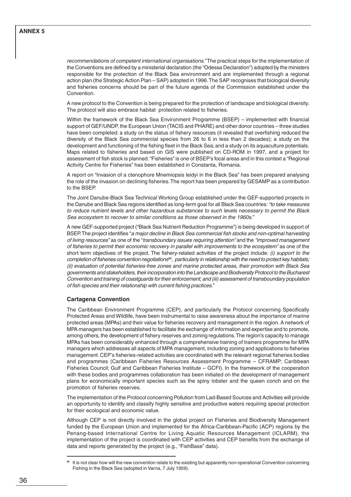recommendations of competent international organisations." The practical steps for the implementation of the Conventions are defined by a ministerial declaration (the "Odessa Declaration") adopted by the ministers responsible for the protection of the Black Sea environment and are implemented through a regional action plan (the Strategic Action Plan – SAP) adopted in 1996. The SAP recognises that biological diversity and fisheries concerns should be part of the future agenda of the Commission established under the Convention.

A new protocol to the Convention is being prepared for the protection of landscape and biological diversity. The protocol will also embrace habitat protection related to fisheries.

Within the framework of the Black Sea Environment Programme (BSEP) – implemented with financial support of GEF/UNDP, the European Union (TACIS and PHARE) and other donor countries – three studies have been completed: a study on the status of fishery resources (it revealed that overfishing reduced the diversity of the Black Sea commercial species from 26 to 6 in less than 2 decades); a study on the development and functioning of the fishing fleet in the Black Sea; and a study on its aquaculture potentials. Maps related to fisheries and based on GIS were published on CD-ROM in 1997, and a project for assessment of fish stock is planned. "Fisheries" is one of BSEP's focal areas and in this context a "Regional Activity Centre for Fisheries" has been established in Constanta, Romania.

A report on "Invasion of a ctenophore Mnemiopsis leidyi in the Black Sea" has been prepared analysing the role of the invasion on declining fisheries. The report has been prepared by GESAMP as a contribution to the BSEP.

The Joint Danube-Black Sea Technical Working Group established under the GEF-supported projects in the Danube and Black Sea regions identified as long-term goal for all Black Sea countries: "to take measures to reduce nutrient levels and other hazardous substances to such levels necessary to permit the Black Sea ecosystem to recover to similar conditions as those observed in the 1960s."

A new GEF-supported project ("Black Sea Nutrient Reduction Programme") is being developed in support of BSEP. The project identifies "a major decline in Black Sea commercial fish stocks and non-optimal harvesting of living resources" as one of the "transboundary issues requiring attention" and the "improved management of fisheries to permit their economic recovery in parallel with improvements to the ecosystem" as one of the short term objectives of the project. The fishery-related activities of the project include: (i) support to the completion of fisheries convention negotiations<sup>86</sup>, particularly in relationship with the need to protect key habitats; (ii) evaluation of potential fisheries-free zones and marine protected areas, their promotion with Black Sea governments and stakeholders, their incorporation into the Landscape and Biodiversity Protocol to the Bucharest Convention and training of coastguards for their enforcement; and (iii) assessment of transboundary population of fish species and their relationship with current fishing practices."

#### **Cartagena Convention**

The Caribbean Environment Programme (CEP), and particularly the Protocol concerning Specifically Protected Areas and Wildlife, have been instrumental to raise awareness about the importance of marine protected areas (MPAs) and their value for fisheries recovery and management in the region. A network of MPA managers has been established to facilitate the exchange of information and expertise and to promote, among others, the development of fishery reserves and zoning regulations. The region's capacity to manage MPAs has been considerably enhanced through a comprehensive training of trainers programme for MPA managers which addresses all aspects of MPA management, including zoning and applications to fisheries management. CEP's fisheries-related activities are coordinated with the relevant regional fisheries bodies and programmes (Caribbean Fisheries Resources Assessment Programme – CFRAMP; Caribbean Fisheries Council; Gulf and Caribbean Fisheries Institute – GCFI). In the framework of the cooperation with these bodies and programmes collaboration has been initiated on the development of management plans for economically important species such as the spiny lobster and the queen conch and on the promotion of fisheries reserves.

The implementation of the Protocol concerning Pollution from Lad-Based Sources and Activities will provide an opportunity to identify and classify highly sensitive and productive waters requiring special protection for their ecological and economic value.

Although CEP is not directly involved in the global project on Fisheries and Biodiversity Management funded by the European Union and implemented for the Africa-Caribbean-Pacific (ACP) regions by the Penang-based International Centre for Living Aquatic Resources Management (ICLARM), the implementation of the project is coordinated with CEP activities and CEP benefits from the exchange of data and reports generated by the project (e.g., "FishBase" data).

<sup>86</sup> It is not clear how will the new convention relate to the existing but apparently non-operational Convention concerning Fishing in the Black Sea (adopted in Varna, 7 July 1959).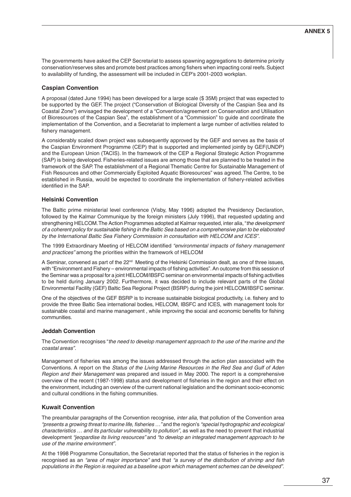The governments have asked the CEP Secretariat to assess spawning aggregations to determine priority conservation/reserves sites and promote best practices among fishers when impacting coral reefs. Subject to availability of funding, the assessment will be included in CEP's 2001-2003 workplan.

# **Caspian Convention**

A proposal (dated June 1994) has been developed for a large scale (\$ 35M) project that was expected to be supported by the GEF. The project ("Conservation of Biological Diversity of the Caspian Sea and its Coastal Zone") envisaged the development of a "Convention/agreement on Conservation and Utilisation of Bioresources of the Caspian Sea", the establishment of a "Commission" to guide and coordinate the implementation of the Convention, and a Secretariat to implement a large number of activities related to fishery management.

A considerably scaled down project was subsequently approved by the GEF and serves as the basis of the Caspian Environment Programme (CEP) that is supported and implemented jointly by GEF(UNDP) and the European Union (TACIS). In the framework of the CEP a Regional Strategic Action Programme (SAP) is being developed. Fisheries-related issues are among those that are planned to be treated in the framework of the SAP. The establishment of a Regional Thematic Centre for Sustainable Management of Fish Resources and other Commercially Exploited Aquatic Bioresources" was agreed. The Centre, to be established in Russia, would be expected to coordinate the implementation of fishery-related activities identified in the SAP.

#### **Helsinki Convention**

The Baltic prime ministerial level conference (Visby, May 1996) adopted the Presidency Declaration, followed by the Kalmar Communique by the foreign ministers (July 1996), that requested updating and strengthening HELCOM. The Action Programmes adopted at Kalmar requested, inter alia, "the development of a coherent policy for sustainable fishing in the Baltic Sea based on a comprehensive plan to be elaborated by the International Baltic Sea Fishery Commission in consultation with HELCOM and ICES".

The 1999 Extraordinary Meeting of HELCOM identified "environmental impacts of fishery management and practices" among the priorities within the framework of HELCOM

A Seminar, convened as part of the 22<sup>nd</sup> Meeting of the Helsinki Commission dealt, as one of three issues, with "Environment and Fishery – environmental impacts of fishing activities". An outcome from this session of the Seminar was a proposal for a joint HELCOM/IBSFC seminar on environmental impacts of fishing activities to be held during January 2002. Furthermore, it was decided to include relevant parts of the Global Environmental Facility (GEF) Baltic Sea Regional Project (BSRP) during the joint HELCOM/IBSFC seminar.

One of the objectives of the GEF BSRP is to increase sustainable biological productivity, i.e. fishery and to provide the three Baltic Sea international bodies, HELCOM, IBSFC and ICES, with management tools for sustainable coastal and marine management , while improving the social and economic benefits for fishing communities.

#### **Jeddah Convention**

The Convention recognises "the need to develop management approach to the use of the marine and the coastal areas".

Management of fisheries was among the issues addressed through the action plan associated with the Conventions. A report on the Status of the Living Marine Resources in the Red Sea and Gulf of Aden Region and their Management was prepared and issued in May 2000. The report is a comprehensive overview of the recent (1987-1998) status and development of fisheries in the region and their effect on the environment, including an overview of the current national legislation and the dominant socio-economic and cultural conditions in the fishing communities.

#### **Kuwait Convention**

The preambular paragraphs of the Convention recognise, *inter alia*, that pollution of the Convention area "presents a growing threat to marine life, fisheries …" and the region's "special hydrographic and ecological characteristics … and its particular vulnerability to pollution", as well as the need to prevent that industrial development "jeopardise its living resources" and "to develop an integrated management approach to he use of the marine environment".

At the 1998 Programme Consultation, the Secretariat reported that the status of fisheries in the region is recognised as an "area of major importance" and that "a survey of the distribution of shrimp and fish populations in the Region is required as a baseline upon which management schemes can be developed".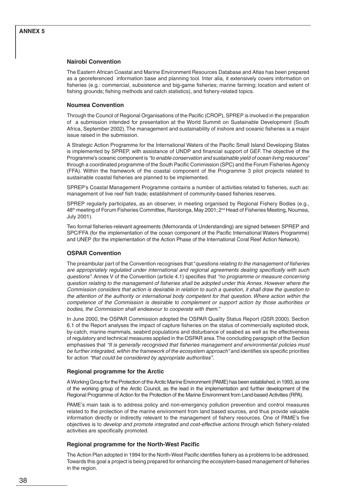#### **Nairobi Convention**

The Eastern African Coastal and Marine Environment Resources Database and Atlas has been prepared as a georeferenced information base and planning tool. Inter alia, it extensively covers information on fisheries (e.g.: commercial, subsistence and big-game fisheries; marine farming; location and extent of fishing grounds; fishing methods and catch statistics), and fishery-related topics.

#### **Noumea Convention**

Through the Council of Regional Organisations of the Pacific (CROP), SPREP is involved in the preparation of a submission intended for presentation at the World Summit on Sustainable Development (South Africa, September 2002). The management and sustainability of inshore and oceanic fisheries is a major issue raised in the submission.

A Strategic Action Programme for the International Waters of the Pacific Small Island Developing States is implemented by SPREP, with assistance of UNDP and financial support of GEF. The objective of the Programme's oceanic component is "to enable conservation and sustainable yield of ocean living resources" through a coordinated programme of the South Pacific Commission (SPC) and the Forum Fisheries Agency (FFA). Within the framework of the coastal component of the Programme 3 pilot projects related to sustainable coastal fisheries are planned to be implemented.

SPREP's Coastal Management Programme contains a number of activities related to fisheries, such as: management of live reef fish trade; establishment of community-based fisheries reserves.

SPREP regularly participates, as an observer, in meeting organised by Regional Fishery Bodies (e.g., 48<sup>th</sup> meeting of Forum Fisheries Committee, Rarotonga, May 2001; 2<sup>nd</sup> Head of Fisheries Meeting, Noumea, July 2001).

Two formal fisheries-relevant agreements (Memoranda of Understanding) are signed between SPREP and SPC/FFA (for the implementation of the ocean component of the Pacific International Waters Programme) and UNEP (for the implementation of the Action Phase of the International Coral Reef Action Network).

#### **OSPAR Convention**

The preambular part of the Convention recognises that "questions relating to the management of fisheries are appropriately regulated under international and regional agreements dealing specifically with such questions". Annex V of the Convention (article 4.1) specifies that "no programme or measure concerning question relating to the management of fisheries shall be adopted under this Annex. However where the Commission considers that action is desirable in relation to such a question, it shall draw the question to the attention of the authority or international body competent for that question. Where action within the competence of the Commission is desirable to complement or support action by those authorities or bodies, the Commission shall endeavour to cooperate with them."

In June 2000, the OSPAR Commission adopted the OSPAR Quality Status Report (QSR 2000). Section 6.1 of the Report analyses the impact of capture fisheries on the status of commercially exploited stock, by-catch, marine mammals, seabird populations and disturbance of seabed as well as the effectiveness of regulatory and technical measures applied in the OSPAR area. The concluding paragraph of the Section emphasises that "It is generally recognised that fisheries management and environmental policies must be further integrated, within the framework of the ecosystem approach" and identifies six specific priorities for action "that could be considered by appropriate authorities".

#### **Regional programme for the Arctic**

A Working Group for the Protection of the Arctic Marine Environment (PAME) has been established, in 1993, as one of the working group of the Arctic Council, as the lead in the implementation and further development of the Regional Programme of Action for the Protection of the Marine Environment from Land-based Activities (RPA).

PAME's main task is to address policy and non-emergency pollution prevention and control measures related to the protection of the marine environment from land based sources, and thus provide valuable information directly or indirectly relevant to the management of fishery resources. One of PAME's five objectives is to develop and promote integrated and cost-effective actions through which fishery-related activities are specifically promoted.

#### **Regional programme for the North-West Pacific**

The Action Plan adopted in 1994 for the North-West Pacific identifies fishery as a problems to be addressed. Towards this goal a project is being prepared for enhancing the ecosystem-based management of fisheries in the region.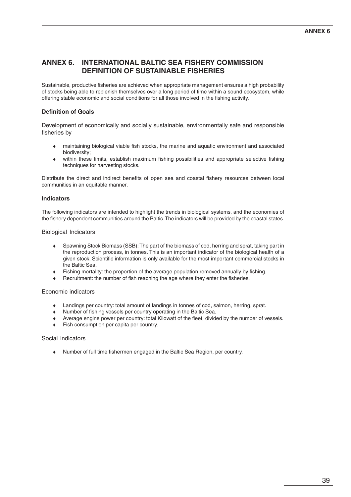# **ANNEX 6. INTERNATIONAL BALTIC SEA FISHERY COMMISSION DEFINITION OF SUSTAINABLE FISHERIES**

Sustainable, productive fisheries are achieved when appropriate management ensures a high probability of stocks being able to replenish themselves over a long period of time within a sound ecosystem, while offering stable economic and social conditions for all those involved in the fishing activity.

# **Definition of Goals**

Development of economically and socially sustainable, environmentally safe and responsible fisheries by

- ♦ maintaining biological viable fish stocks, the marine and aquatic environment and associated biodiversity;
- ♦ within these limits, establish maximum fishing possibilities and appropriate selective fishing techniques for harvesting stocks.

Distribute the direct and indirect benefits of open sea and coastal fishery resources between local communities in an equitable manner.

# **Indicators**

The following indicators are intended to highlight the trends in biological systems, and the economies of the fishery dependent communities around the Baltic. The indicators will be provided by the coastal states.

#### Biological Indicators

- ♦ Spawning Stock Biomass (SSB): The part of the biomass of cod, herring and sprat, taking part in the reproduction process, in tonnes. This is an important indicator of the biological health of a given stock. Scientific information is only available for the most important commercial stocks in the Baltic Sea.
- Fishing mortality: the proportion of the average population removed annually by fishing.
- Recruitment: the number of fish reaching the age where they enter the fisheries.

#### Economic indicators

- ♦ Landings per country: total amount of landings in tonnes of cod, salmon, herring, sprat.
- ♦ Number of fishing vessels per country operating in the Baltic Sea.
- Average engine power per country: total Kilowatt of the fleet, divided by the number of vessels.
- Fish consumption per capita per country.

#### Social indicators

♦ Number of full time fishermen engaged in the Baltic Sea Region, per country.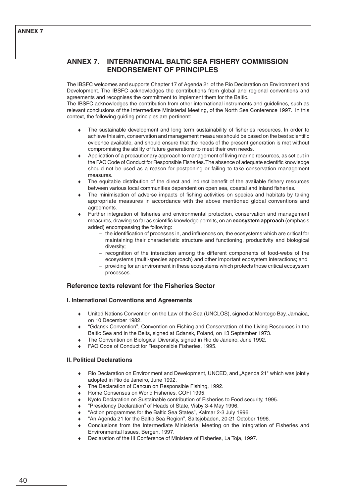# **ANNEX 7**

# **ANNEX 7. INTERNATIONAL BALTIC SEA FISHERY COMMISSION ENDORSEMENT OF PRINCIPLES**

The IBSFC welcomes and supports Chapter 17 of Agenda 21 of the Rio Declaration on Environment and Development. The IBSFC acknowledges the contributions from global and regional conventions and agreements and recognises the commitment to implement them for the Baltic.

The IBSFC acknowledges the contribution from other international instruments and guidelines, such as relevant conclusions of the Intermediate Ministerial Meeting, of the North Sea Conference 1997. In this context, the following guiding principles are pertinent:

- The sustainable development and long term sustainability of fisheries resources. In order to achieve this aim, conservation and management measures should be based on the best scientific evidence available, and should ensure that the needs of the present generation is met without compromising the ability of future generations to meet their own needs.
- Application of a precautionary approach to management of living marine resources, as set out in the FAO Code of Conduct for Responsible Fisheries. The absence of adequate scientific knowledge should not be used as a reason for postponing or failing to take conservation management measures.
- The equitable distribution of the direct and indirect benefit of the available fishery resources between various local communities dependent on open sea, coastal and inland fisheries.
- The minimisation of adverse impacts of fishing activities on species and habitats by taking appropriate measures in accordance with the above mentioned global conventions and agreements.
- Further integration of fisheries and environmental protection, conservation and management measures, drawing so far as scientific knowledge permits, on an **ecosystem approach** (emphasis added) encompassing the following:
	- the identification of processes in, and influences on, the ecosystems which are critical for maintaining their characteristic structure and functioning, productivity and biological diversity;
	- recognition of the interaction among the different components of food-webs of the ecosystems (multi-species approach) and other important ecosystem interactions; and
	- providing for an environment in these ecosystems which protects those critical ecosystem processes.

# **Reference texts relevant for the Fisheries Sector**

# **I. International Conventions and Agreements**

- United Nations Convention on the Law of the Sea (UNCLOS), signed at Montego Bay, Jamaica, on 10 December 1982.
- ♦ "Gdansk Convention", Convention on Fishing and Conservation of the Living Resources in the Baltic Sea and in the Belts, signed at Gdansk, Poland, on 13 September 1973.
- The Convention on Biological Diversity, signed in Rio de Janeiro, June 1992.
- FAO Code of Conduct for Responsible Fisheries, 1995.

#### **II. Political Declarations**

- Rio Declaration on Environment and Development, UNCED, and "Agenda 21" which was jointly adopted in Rio de Janeiro, June 1992.
- The Declaration of Cancun on Responsible Fishing, 1992.
- Rome Consensus on World Fisheries, COFI 1995.
- Kyoto Declaration on Sustainable contribution of Fisheries to Food security, 1995.
- ♦ "Presidency Declaration" of Heads of State, Visby 3-4 May 1996.
- "Action programmes for the Baltic Sea States", Kalmar 2-3 July 1996.
- "An Agenda 21 for the Baltic Sea Region", Saltsjobaden, 20-21 October 1996.
- Conclusions from the Intermediate Ministerial Meeting on the Integration of Fisheries and Environmental Issues, Bergen, 1997.
- Declaration of the III Conference of Ministers of Fisheries, La Toja, 1997.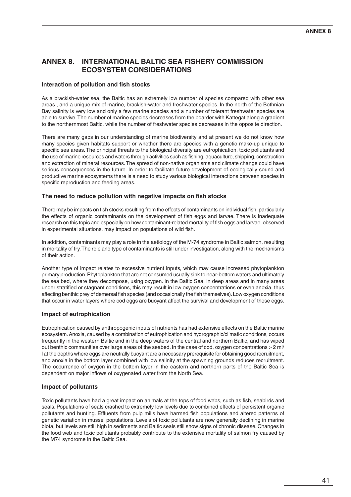# **ANNEX 8. INTERNATIONAL BALTIC SEA FISHERY COMMISSION ECOSYSTEM CONSIDERATIONS**

#### **Interaction of pollution and fish stocks**

As a brackish-water sea, the Baltic has an extremely low number of species compared with other sea areas , and a unique mix of marine, brackish-water and freshwater species. In the north of the Bothnian Bay salinity is very low and only a few marine species and a number of tolerant freshwater species are able to survive. The number of marine species decreases from the boarder with Kattegat along a gradient to the northernmost Baltic, while the number of freshwater species decreases in the opposite direction.

There are many gaps in our understanding of marine biodiversity and at present we do not know how many species given habitats support or whether there are species with a genetic make-up unique to specific sea areas. The principal threats to the biological diversity are eutrophication, toxic pollutants and the use of marine resources and waters through activities such as fishing, aquaculture, shipping, construction and extraction of mineral resources. The spread of non-native organisms and climate change could have serious consequences in the future. In order to facilitate future development of ecologically sound and productive marine ecosystems there is a need to study various biological interactions between species in specific reproduction and feeding areas.

#### **The need to reduce pollution with negative impacts on fish stocks**

There may be impacts on fish stocks resulting from the effects of contaminants on individual fish, particularly the effects of organic contaminants on the development of fish eggs and larvae. There is inadequate research on this topic and especially on how contaminant-related mortality of fish eggs and larvae, observed in experimental situations, may impact on populations of wild fish.

In addition, contaminants may play a role in the aetiology of the M-74 syndrome in Baltic salmon, resulting in mortality of fry. The role and type of contaminants is still under investigation, along with the mechanisms of their action.

Another type of impact relates to excessive nutrient inputs, which may cause increased phytoplankton primary production. Phytoplankton that are not consumed usually sink to near-bottom waters and ultimately the sea bed, where they decompose, using oxygen. In the Baltic Sea, in deep areas and in many areas under stratified or stagnant conditions, this may result in low oxygen concentrations or even anoxia, thus affecting benthic prey of demersal fish species (and occasionally the fish themselves). Low oxygen conditions that occur in water layers where cod eggs are buoyant affect the survival and development of these eggs.

#### **Impact of eutrophication**

Eutrophication caused by anthropogenic inputs of nutrients has had extensive effects on the Baltic marine ecosystem. Anoxia, caused by a combination of eutrophication and hydrographic/climatic conditions, occurs frequently in the western Baltic and in the deep waters of the central and northern Baltic, and has wiped out benthic communities over large areas of the seabed. In the case of cod, oxygen concentrations > 2 ml/ l at the depths where eggs are neutrally buoyant are a necessary prerequisite for obtaining good recruitment, and anoxia in the bottom layer combined with low salinity at the spawning grounds reduces recruitment. The occurrence of oxygen in the bottom layer in the eastern and northern parts of the Baltic Sea is dependent on major inflows of oxygenated water from the North Sea.

# **Impact of pollutants**

Toxic pollutants have had a great impact on animals at the tops of food webs, such as fish, seabirds and seals. Populations of seals crashed to extremely low levels due to combined effects of persistent organic pollutants and hunting. Effluents from pulp mills have harmed fish populations and altered patterns of genetic variation in mussel populations. Levels of toxic pollutants are now generally declining in marine biota, but levels are still high in sediments and Baltic seals still show signs of chronic disease. Changes in the food web and toxic pollutants probably contribute to the extensive mortality of salmon fry caused by the M74 syndrome in the Baltic Sea.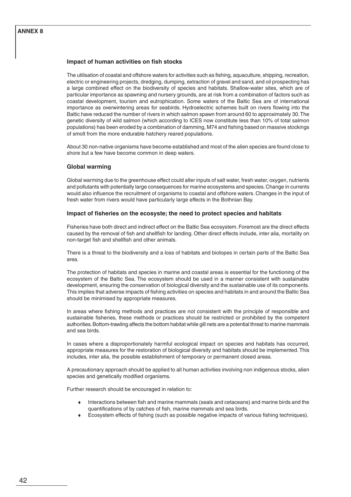# **ANNEX 8**

#### **Impact of human activities on fish stocks**

The utilisation of coastal and offshore waters for activities such as fishing, aquaculture, shipping, recreation, electric or engineering projects, dredging, dumping, extraction of gravel and sand, and oil prospecting has a large combined effect on the biodiversity of species and habitats. Shallow-water sites, which are of particular importance as spawning and nursery grounds, are at risk from a combination of factors such as coastal development, tourism and eutrophication. Some waters of the Baltic Sea are of international importance as overwintering areas for seabirds. Hydroelectric schemes built on rivers flowing into the Baltic have reduced the number of rivers in which salmon spawn from around 60 to approximately 30. The genetic diversity of wild salmon (which according to ICES now constitute less than 10% of total salmon populations) has been eroded by a combination of damming, M74 and fishing based on massive stockings of smolt from the more endurable hatchery reared populations.

About 30 non-native organisms have become established and most of the alien species are found close to shore but a few have become common in deep waters.

#### **Global warming**

Global warming due to the greenhouse effect could alter inputs of salt water, fresh water, oxygen, nutrients and pollutants with potentially large consequences for marine ecosystems and species. Change in currents would also influence the recruitment of organisms to coastal and offshore waters. Changes in the input of fresh water from rivers would have particularly large effects in the Bothnian Bay.

#### **Impact of fisheries on the ecosyste; the need to protect species and habitats**

Fisheries have both direct and indirect effect on the Baltic Sea ecosystem. Foremost are the direct effects caused by the removal of fish and shellfish for landing. Other direct effects include, inter alia, mortality on non-target fish and shellfish and other animals.

There is a threat to the biodiversity and a loss of habitats and biotopes in certain parts of the Baltic Sea area.

The protection of habitats and species in marine and coastal areas is essential for the functioning of the ecosystem of the Baltic Sea. The ecosystem should be used in a manner consistent with sustainable development, ensuring the conservation of biological diversity and the sustainable use of its components. This implies that adverse impacts of fishing activities on species and habitats in and around the Baltic Sea should be minimised by appropriate measures.

In areas where fishing methods and practices are not consistent with the principle of responsible and sustainable fisheries, these methods or practices should be restricted or prohibited by the competent authorities. Bottom-trawling affects the bottom habitat while gill nets are a potential threat to marine mammals and sea birds.

In cases where a disproportionately harmful ecological impact on species and habitats has occurred, appropriate measures for the restoration of biological diversity and habitats should be implemented. This includes, inter alia, the possible establishment of temporary or permanent closed areas.

A precautionary approach should be applied to all human activities involving non indigenous stocks, alien species and genetically modified organisms.

Further research should be encouraged in relation to:

- Interactions between fish and marine mammals (seals and cetaceans) and marine birds and the quantifications of by catches of fish, marine mammals and sea birds.
- Ecosystem effects of fishing (such as possible negative impacts of various fishing techniques).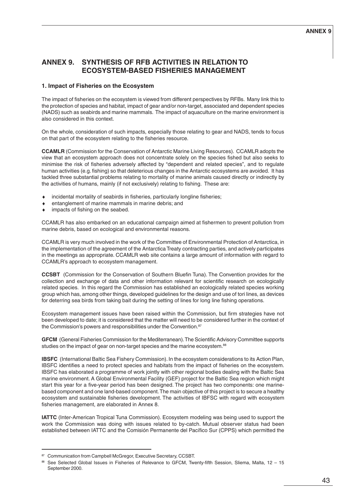## **ANNEX 9**

# **ANNEX 9. SYNTHESIS OF RFB ACTIVITIES IN RELATION TO ECOSYSTEM-BASED FISHERIES MANAGEMENT**

#### **1. Impact of Fisheries on the Ecosystem**

The impact of fisheries on the ecosystem is viewed from different perspectives by RFBs. Many link this to the protection of species and habitat, impact of gear and/or non-target, associated and dependent species (NADS) such as seabirds and marine mammals. The impact of aquaculture on the marine environment is also considered in this context.

On the whole, consideration of such impacts, especially those relating to gear and NADS, tends to focus on that part of the ecosystem relating to the fisheries resource.

**CCAMLR** (Commission for the Conservation of Antarctic Marine Living Resources). CCAMLR adopts the view that an ecosystem approach does not concentrate solely on the species fished but also seeks to minimise the risk of fisheries adversely affected by "dependent and related species", and to regulate human activities (e.g. fishing) so that deleterious changes in the Antarctic ecosystems are avoided. It has tackled three substantial problems relating to mortality of marine animals caused directly or indirectly by the activities of humans, mainly (if not exclusively) relating to fishing. These are:

- incidental mortality of seabirds in fisheries, particularly longline fisheries;
- entanglement of marine mammals in marine debris; and
- impacts of fishing on the seabed.

CCAMLR has also embarked on an educational campaign aimed at fishermen to prevent pollution from marine debris, based on ecological and environmental reasons.

CCAMLR is very much involved in the work of the Committee of Environmental Protection of Antarctica, in the implementation of the agreement of the Antarctica Treaty contracting parties, and actively participates in the meetings as appropriate. CCAMLR web site contains a large amount of information with regard to CCAMLR's approach to ecosystem management.

**CCSBT** (Commission for the Conservation of Southern Bluefin Tuna). The Convention provides for the collection and exchange of data and other information relevant for scientific research on ecologically related species. In this regard the Commission has established an ecologically related species working group which has, among other things, developed guidelines for the design and use of tori lines, as devices for deterring sea birds from taking bait during the setting of lines for long line fishing operations.

Ecosystem management issues have been raised within the Commission, but firm strategies have not been developed to date; it is considered that the matter will need to be considered further in the context of the Commission's powers and responsibilities under the Convention.<sup>87</sup>

**GFCM** (General Fisheries Commission for the Mediterranean). The Scientific Advisory Committee supports studies on the impact of gear on non-target species and the marine ecosystem.<sup>88</sup>

**IBSFC** (International Baltic Sea Fishery Commission). In the ecosystem considerations to its Action Plan, IBSFC identifies a need to protect species and habitats from the impact of fisheries on the ecosystem. IBSFC has elaborated a programme of work jointly with other regional bodies dealing with the Baltic Sea marine environment. A Global Environmental Facility (GEF) project for the Baltic Sea region which might start this year for a five-year period has been designed. The project has two components: one marinebased component and one land-based component. The main objective of this project is to secure a healthy ecosystem and sustainable fisheries development. The activities of IBFSC with regard with ecosystem fisheries management, are elaborated in Annex 8.

**IATTC** (Inter-American Tropical Tuna Commission). Ecosystem modeling was being used to support the work the Commission was doing with issues related to by-catch. Mutual observer status had been established between IATTC and the Comisión Permanente del Pacífico Sur (CPPS) which permitted the

<sup>87</sup> Communication from Campbell McGregor, Executive Secretary, CCSBT.

<sup>88</sup> See Selected Global Issues in Fisheries of Relevance to GFCM, Twenty-fifth Session, Sliema, Malta, 12 – 15 September 2000.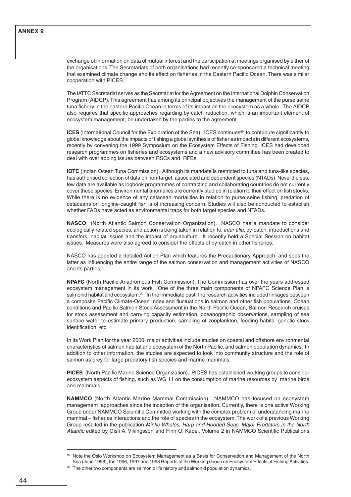exchange of information on data of mutual interest and the participation at meetings organised by either of the organisations. The Secretariats of both organisations had recently co-sponsored a technical meeting that examined climate change and its effect on fisheries in the Eastern Pacific Ocean. There was similar cooperation with PICES.

The IATTC Secretariat serves as the Secretariat for the Agreement on the International Dolphin Conservation Program (AIDCP). This agreement has among its principal objectives the management of the purse seine tuna fishery in the eastern Pacific Ocean in terms of its impact on the ecosystem as a whole. The AIDCP also requires that specific approaches regarding by-catch reduction, which is an important element of ecosystem management, be undertaken by the parties to the agreement.

**ICES** (International Council for the Exploration of the Sea). ICES continues<sup>89</sup> to contribute significantly to global knowledge about the impacts of fishing a global synthesis of fisheries impacts in different ecosystems, recently by convening the 1999 Symposium on the Ecosystem Effects of Fishing. ICES had developed research programmes on fisheries and ecosystems and a new advisory committee has been created to deal with overlapping issues between RSCs and RFBs.

**IOTC** (Indian Ocean Tuna Commission). Although its mandate is restricted to tuna and tuna-like species, has authorised collection of data on non-target, associated and dependent species (NTADs). Nevertheless, few data are available as logbook programmes of contracting and collaborating countries do not currently cover these species. Environmental anomalies are currently studied in relation to their effect on fish stocks. While there is no evidence of any cetacean mortalities in relation to purse seine fishing, predation of cetaceans on longline-caught fish is of increasing concern. Studies will also be conducted to establish whether FADs have acted as environmental traps for both target species and NTADs.

**NASCO** (North Atlantic Salmon Conservation Organization). NASCO has a mandate to consider ecologically related species, and action is being taken in relation to, *inter alia*, by-catch, introductions and transfers, habitat issues and the impact of aquaculture. It recently held a Special Session on habitat issues. Measures were also agreed to consider the effects of by-catch in other fisheries.

NASCO has adopted a detailed Action Plan which features the Precautionary Approach, and sees the latter as influencing the entire range of the salmon conservation and management activities of NASCO and its parties

**NPAFC** (North Pacific Anadromous Fish Commission). The Commission has over the years addressed ecosystem management in its work. One of the three main components of NPAFC Science Plan is salmonid habitat and ecosystem.<sup>90</sup> In the immediate past, the research activities included linkages between a composite Pacific Climate-Ocean Index and fluctuations in salmon and other fish populations, Ocean conditions and Pacific Salmon Stock Assessment in the North Pacific Ocean, Salmon Research cruises for stock assessment and carrying capacity estimation, oceanographic observations, sampling of sea surface water to estimate primary production, sampling of zooplankton, feeding habits, genetic stock identification, etc.

In its Work Plan for the year 2000, major activities include studies on coastal and offshore environmental characteristics of salmon habitat and ecosystem of the North Pacific, and salmon population dynamics. In addition to other information, the studies are expected to look into community structure and the role of salmon as prey for large predatory fish species and marine mammals.

**PICES** (North Pacific Marine Science Organization). PICES has established working groups to consider ecosystem aspects of fishing, such as WG 11 on the consumption of marine resources by marine birds and mammals.

**NAMMCO** (North Atlantic Marine Mammal Commission). NAMMCO has focused on ecosystem management approaches since the inception of the organisation. Currently, there is one active Working Group under NAMMCO Scientific Committee working with the complex problem of understanding marine mammal – fisheries interactions and the role of species in the ecosystem. The work of a previous Working Group resulted in the publication Minke Whales, Harp and Hooded Seas: Major Predators in the North Atlantic edited by Gisli A. Vikingsson and Finn O. Kapel, Volume 2 in NAMMCO Scientific Publications

<sup>89</sup> Note the Oslo Workshop on Ecosystem Management as a Basis for Conservation and Management of the North Sea (June 1998), the 1996, 1997 and 1998 Reports of the Working Group on Ecosystem Effects of Fishing Activities.

<sup>&</sup>lt;sup>90</sup> The other two components are salmonid life history and salmonid population dynamics.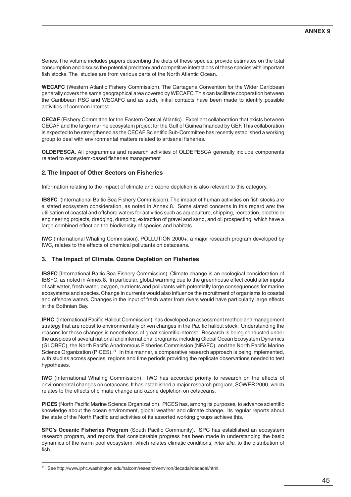Series. The volume includes papers describing the diets of these species, provide estimates on the total consumption and discuss the potential predatory and competitive interactions of these species with important fish stocks. The studies are from various parts of the North Atlantic Ocean.

**WECAFC** (Western Atlantic Fishery Commission). The Cartagena Convention for the Wider Caribbean generally covers the same geographical area covered by WECAFC. This can facilitate cooperation between the Caribbean RSC and WECAFC and as such, initial contacts have been made to identify possible activities of common interest.

**CECAF** (Fishery Committee for the Eastern Central Atlantic). Excellent collaboration that exists between CECAF and the large marine ecosystem project for the Gulf of Guinea financed by GEF. This collaboration is expected to be strengthened as the CECAF Scientific Sub-Committee has recently established a working group to deal with environmental matters related to artisanal fisheries.

**OLDEPESCA**. All programmes and research activities of OLDEPESCA generally include components related to ecosystem-based fisheries management

### **2. The Impact of Other Sectors on Fisheries**

Information relating to the impact of climate and ozone depletion is also relevant to this category.

**IBSFC** (International Baltic Sea Fishery Commission). The impact of human activities on fish stocks are a stated ecosystem consideration, as noted in Annex 8. Some stated concerns in this regard are: the utilisation of coastal and offshore waters for activities such as aquaculture, shipping, recreation, electric or engineering projects, dredging, dumping, extraction of gravel and sand, and oil prospecting, which have a large combined effect on the biodiversity of species and habitats.

**IWC** (International Whaling Commission). POLLUTION 2000+, a major research program developed by IWC, relates to the effects of chemical pollutants on cetaceans.

#### **3. The Impact of Climate, Ozone Depletion on Fisheries**

**IBSFC** (International Baltic Sea Fishery Commission). Climate change is an ecological consideration of IBSFC, as noted in Annex 8. In particular, global warming due to the greenhouse effect could alter inputs of salt water, fresh water, oxygen, nutrients and pollutants with potentially large consequences for marine ecosystems and species. Change in currents would also influence the recruitment of organisms to coastal and offshore waters. Changes in the input of fresh water from rivers would have particularly large effects in the Bothnian Bay.

**IPHC** (International Pacific Halibut Commission). has developed an assessment method and management strategy that are robust to environmentally driven changes in the Pacific halibut stock. Understanding the reasons for those changes is nonetheless of great scientific interest. Research is being conducted under the auspices of several national and international programs, including Global Ocean Ecosystem Dynamics (GLOBEC), the North Pacific Anadromous Fisheries Commission (NPAFC), and the North Pacific Marine Science Organization (PICES).<sup>91</sup> In this manner, a comparative research approach is being implemented, with studies across species, regions and time periods providing the replicate observations needed to test hypotheses.

**IWC** (International Whaling Commission). IWC has accorded priority to research on the effects of environmental changes on cetaceans. It has established a major research program, SOWER 2000, which relates to the effects of climate change and ozone depletion on cetaceans.

**PICES** (North Pacific Marine Science Organization). PICES has, among its purposes, to advance scientific knowledge about the ocean environment, global weather and climate change. Its regular reports about the state of the North Pacific and activities of its assorted working groups achieve this.

**SPC's Oceanic Fisheries Program** (South Pacific Community). SPC has established an ecosystem research program, and reports that considerable progress has been made in understanding the basic dynamics of the warm pool ecosystem, which relates climatic conditions, inter alia, to the distribution of fish.

<sup>91</sup> See http://www.iphc.washington.edu/halcom/research/environ/decadal/decadal/html.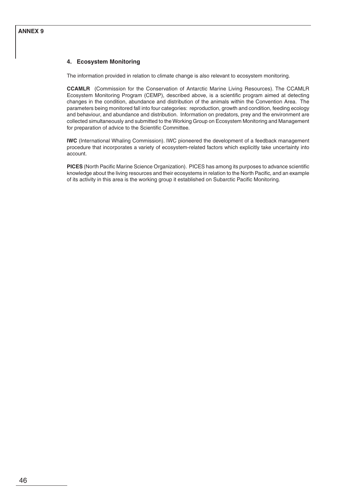# **4. Ecosystem Monitoring**

The information provided in relation to climate change is also relevant to ecosystem monitoring.

**CCAMLR** (Commission for the Conservation of Antarctic Marine Living Resources). The CCAMLR Ecosystem Monitoring Program (CEMP), described above, is a scientific program aimed at detecting changes in the condition, abundance and distribution of the animals within the Convention Area. The parameters being monitored fall into four categories: reproduction, growth and condition, feeding ecology and behaviour, and abundance and distribution. Information on predators, prey and the environment are collected simultaneously and submitted to the Working Group on Ecosystem Monitoring and Management for preparation of advice to the Scientific Committee.

**IWC** (International Whaling Commission). IWC pioneered the development of a feedback management procedure that incorporates a variety of ecosystem-related factors which explicitly take uncertainty into account.

**PICES** (North Pacific Marine Science Organization). PICES has among its purposes to advance scientific knowledge about the living resources and their ecosystems in relation to the North Pacific, and an example of its activity in this area is the working group it established on Subarctic Pacific Monitoring.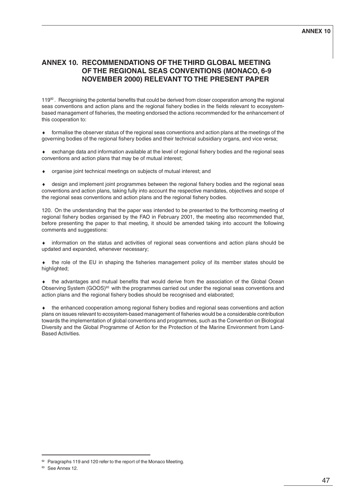# **ANNEX 10. RECOMMENDATIONS OF THE THIRD GLOBAL MEETING OF THE REGIONAL SEAS CONVENTIONS (MONACO, 6-9 NOVEMBER 2000) RELEVANT TO THE PRESENT PAPER**

119<sup>92</sup>. Recognising the potential benefits that could be derived from closer cooperation among the regional seas conventions and action plans and the regional fishery bodies in the fields relevant to ecosystembased management of fisheries, the meeting endorsed the actions recommended for the enhancement of this cooperation to:

♦ formalise the observer status of the regional seas conventions and action plans at the meetings of the governing bodies of the regional fishery bodies and their technical subsidiary organs, and vice versa;

♦ exchange data and information available at the level of regional fishery bodies and the regional seas conventions and action plans that may be of mutual interest;

organise joint technical meetings on subjects of mutual interest; and

design and implement joint programmes between the regional fishery bodies and the regional seas conventions and action plans, taking fully into account the respective mandates, objectives and scope of the regional seas conventions and action plans and the regional fishery bodies.

120. On the understanding that the paper was intended to be presented to the forthcoming meeting of regional fishery bodies organised by the FAO in February 2001, the meeting also recommended that, before presenting the paper to that meeting, it should be amended taking into account the following comments and suggestions:

information on the status and activities of regional seas conventions and action plans should be updated and expanded, whenever necessary;

the role of the EU in shaping the fisheries management policy of its member states should be highlighted:

the advantages and mutual benefits that would derive from the association of the Global Ocean Observing System (GOOS)93 with the programmes carried out under the regional seas conventions and action plans and the regional fishery bodies should be recognised and elaborated;

♦ the enhanced cooperation among regional fishery bodies and regional seas conventions and action plans on issues relevant to ecosystem-based management of fisheries would be a considerable contribution towards the implementation of global conventions and programmes, such as the Convention on Biological Diversity and the Global Programme of Action for the Protection of the Marine Environment from Land-Based Activities.

<sup>&</sup>lt;sup>92</sup> Paragraphs 119 and 120 refer to the report of the Monaco Meeting.

<sup>&</sup>lt;sup>93</sup> See Annex 12.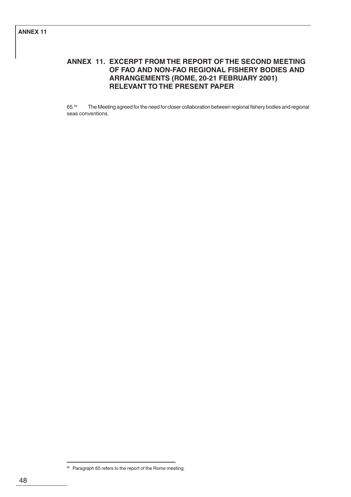# **ANNEX 11. EXCERPT FROM THE REPORT OF THE SECOND MEETING OF FAO AND NON-FAO REGIONAL FISHERY BODIES AND ARRANGEMENTS (ROME, 20-21 FEBRUARY 2001) RELEVANT TO THE PRESENT PAPER**

65.94 The Meeting agreed for the need for closer collaboration between regional fishery bodies and regional seas conventions.

<sup>94</sup> Paragraph 65 refers to the report of the Rome meeting.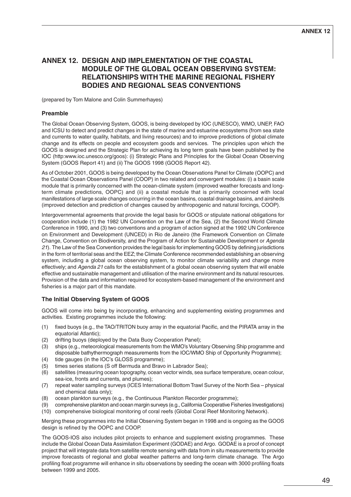# **ANNEX 12. DESIGN AND IMPLEMENTATION OF THE COASTAL MODULE OF THE GLOBAL OCEAN OBSERVING SYSTEM: RELATIONSHIPS WITH THE MARINE REGIONAL FISHERY BODIES AND REGIONAL SEAS CONVENTIONS**

(prepared by Tom Malone and Colin Summerhayes)

## **Preamble**

The Global Ocean Observing System, GOOS, is being developed by IOC (UNESCO), WMO, UNEP, FAO and ICSU to detect and predict changes in the state of marine and estuarine ecosystems (from sea state and currents to water quality, habitats, and living resources) and to improve predictions of global climate change and its effects on people and ecosystem goods and services. The principles upon which the GOOS is designed and the Strategic Plan for achieving its long term goals have been published by the IOC (http:www.ioc.unesco.org/goos): (i) Strategic Plans and Principles for the Global Ocean Observing System (GOOS Report 41) and (ii) The GOOS 1998 (GOOS Report 42).

As of October 2001, GOOS is being developed by the Ocean Observations Panel for Climate (OOPC) and the Coastal Ocean Observations Panel (COOP) in two related and convergent modules: (i) a basin scale module that is primarily concerned with the ocean-climate system (improved weather forecasts and longterm climate predictions, OOPC) and (ii) a coastal module that is primarily concerned with local manifestations of large scale changes occurring in the ocean basins, coastal drainage basins, and airsheds (improved detection and prediction of changes caused by anthropogenic and natural forcings, COOP).

Intergovernmental agreements that provide the legal basis for GOOS or stipulate national obligations for cooperation include (1) the 1982 UN Convention on the Law of the Sea, (2) the Second World Climate Conference in 1990, and (3) two conventions and a program of action signed at the 1992 UN Conference on Environment and Development (UNCED) in Rio de Janeiro (the Framework Convention on Climate Change, Convention on Biodiversity, and the Program of Action for Sustainable Development or Agenda 21). The Law of the Sea Convention provides the legal basis for implementing GOOS by defining jurisdictions in the form of territorial seas and the EEZ; the Climate Conference recommended establishing an observing system, including a global ocean observing system, to monitor climate variability and change more effectively; and Agenda 21 calls for the establishment of a global ocean observing system that will enable effective and sustainable management and utilisation of the marine environment and its natural resources. Provision of the data and information required for ecosystem-based management of the environment and fisheries is a major part of this mandate.

# **The Initial Observing System of GOOS**

GOOS will come into being by incorporating, enhancing and supplementing existing programmes and activities. Existing programmes include the following:

- (1) fixed buoys (e.g., the TAO/TRITON buoy array in the equatorial Pacific, and the PIRATA array in the equatorial Atlantic);
- (2) drifting buoys (deployed by the Data Buoy Cooperation Panel);
- (3) ships (e.g., meteorological measurements from the WMO's Voluntary Observing Ship programme and disposable bathythermograph measurements from the IOC/WMO Ship of Opportunity Programme);
- (4) tide gauges (in the IOC's GLOSS programme);
- (5) times series stations (S off Bermuda and Bravo in Labrador Sea);
- (6) satellites (measuring ocean topography, ocean vector winds, sea surface temperature, ocean colour, sea-ice, fronts and currents, and plumes);
- (7) repeat water sampling surveys (ICES International Bottom Trawl Survey of the North Sea physical and chemical data only);
- (8) ocean plankton surveys (e.g., the Continuous Plankton Recorder programme);
- (9) comprehensive plankton and ocean margin surveys (e.g., California Cooperative Fisheries Investigations)
- (10) comprehensive biological monitoring of coral reefs (Global Coral Reef Monitoring Network).

Merging these programmes into the Initial Observing System began in 1998 and is ongoing as the GOOS design is refined by the OOPC and COOP.

The GOOS-IOS also includes pilot projects to enhance and supplement existing programmes. These include the Global Ocean Data Assimilation Experiment (GODAE) and Argo. GODAE is a proof of concept project that will integrate data from satellite remote sensing with data from in situ measurements to provide improve forecasts of regional and global weather patterns and long-term climate chanage. The Argo profiling float programme will enhance in situ observations by seeding the ocean with 3000 profiling floats between 1999 and 2005.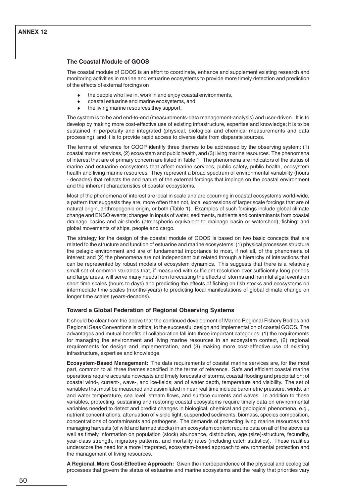#### **The Coastal Module of GOOS**

The coastal module of GOOS is an effort to coordinate, enhance and supplement existing research and monitoring activities in marine and estuarine ecosystems to provide more timely detection and prediction of the effects of external forcings on

- ♦ the people who live in, work in and enjoy coastal environments,
- coastal estuarine and marine ecosystems, and
- the living marine resources they support.

The system is to be and end-to-end (measurements-data management-analysis) and user-driven. It is to develop by making more cost-effective use of existing infrastructure, expertise and knowledge; it is to be sustained in perpetuity and integrated (physical, biological and chemical measurements and data processing), and it is to provide rapid access to diverse data from disparate sources.

The terms of reference for COOP identify three themes to be addressed by the observing system: (1) coastal marine services, (2) ecosystem and public health, and (3) living marine resources. The phenomena of interest that are of primary concern are listed in Table 1. The phenomena are indicators of the status of marine and estuarine ecosystems that affect marine services, public safety, public health, ecosystem health and living marine resources. They represent a broad spectrum of environmental variability (hours - decades) that reflects the and nature of the external forcings that impinge on the coastal environment and the inherent characteristics of coastal ecosystems.

Most of the phenomena of interest are local in scale and are occurring in coastal ecosystems world-wide, a pattern that suggests they are, more often than not, local expressions of larger scale forcings that are of natural origin, anthropogenic origin, or both (Table 1). Examples of such forcings include global climate change and ENSO events; changes in inputs of water, sediments, nutrients and contaminants from coastal drainage basins and air-sheds (atmospheric equivalent to drainage basin or watershed); fishing; and global movements of ships, people and cargo.

The strategy for the design of the coastal module of GOOS is based on two basic concepts that are related to the structure and function of estuarine and marine ecosystems: (1) physical processes structure the pelagic environment and are of fundamental importance to most, if not all, of the phenomena of interest; and (2) the phenomena are not independent but related through a hierarchy of interactions that can be represented by robust models of ecosystem dynamics. This suggests that there is a relatively small set of common variables that, if measured with sufficient resolution over sufficiently long periods and large areas, will serve many needs from forecasting the effects of storms and harmful algal events on short time scales (hours to days) and predicting the effects of fishing on fish stocks and ecosystems on intermediate time scales (months-years) to predicting local manifestations of global climate change on longer time scales (years-decades).

#### **Toward a Global Federation of Regional Observing Systems**

It should be clear from the above that the continued development of Marine Regional Fishery Bodies and Regional Seas Conventions is critical to the successful design and implementation of coastal GOOS. The advantages and mutual benefits of collaboration fall into three important categories: (1) the requirements for managing the environment and living marine resources in an ecosystem context, (2) regional requirements for design and implementation, and (3) making more cost-effective use of existing infrastructure, expertise and knowledge.

**Ecosystem-Based Management:** The data requirements of coastal marine services are, for the most part, common to all three themes specified in the terms of reference. Safe and efficient coastal marine operations require accurate nowcasts and timely forecasts of storms, coastal flooding and precipitation; of coastal wind-, current-, wave-, and ice-fields; and of water depth, temperature and visibility. The set of variables that must be measured and assimilated in near real time include barometric pressure, winds, air and water temperature, sea level, stream flows, and surface currents and waves. In addition to these variables, protecting, sustaining and restoring coastal ecosystems require timely data on environmental variables needed to detect and predict changes in biological, chemical and geological phenomena, e.g., nutrient concentrations, attenuation of visible light, suspended sediments, biomass, species composition, concentrations of contaminants and pathogens. The demands of protecting living marine resources and managing harvests (of wild and farmed stocks) in an ecosystem context require data on all of the above as well as timely information on population (stock) abundance, distribution, age (size)-structure, fecundity, year-class strength, migratory patterns, and mortality rates (including catch statistics). These realities underscore the need for a more integrated, ecosystem-based approach to environmental protection and the management of living resources.

**A Regional, More Cost-Effective Approach:** Given the interdependence of the physical and ecological processes that govern the status of estuarine and marine ecosystems and the reality that priorities vary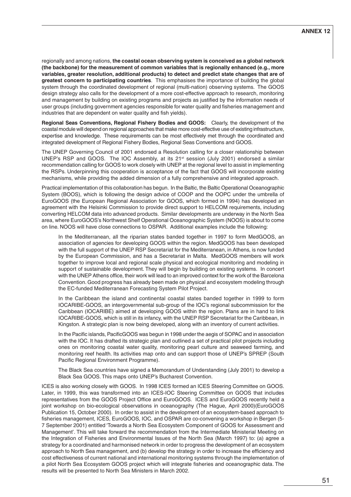regionally and among nations, **the coastal ocean observing system is conceived as a global network (the backbone) for the measurement of common variables that is regionally enhanced (e.g., more variables, greater resolution, additional products) to detect and predict state changes that are of greatest concern to participating countries**. This emphasises the importance of building the global system through the coordinated development of regional (multi-nation) observing systems. The GOOS design strategy also calls for the development of a more cost-effective approach to research, monitoring and management by building on existing programs and projects as justified by the information needs of user groups (including government agencies responsible for water quality and fisheries management and industries that are dependent on water quality and fish yields).

**Regional Seas Conventions, Regional Fishery Bodies and GOOS:** Clearly, the development of the coastal module will depend on regional approaches that make more cost-effective use of existing infrastructure, expertise and knowledge. These requirements can be most effectively met through the coordinated and integrated development of Regional Fishery Bodies, Regional Seas Conventions and GOOS.

The UNEP Governing Council of 2001 endorsed a Resolution calling for a closer relationship between UNEP's RSP and GOOS. The IOC Assembly, at its  $21<sup>st</sup>$  session (July 2001) endorsed a similar recommendation calling for GOOS to work closely with UNEP at the regional level to assist in implementing the RSPs. Underpinning this cooperation is acceptance of the fact that GOOS will incorporate existing mechanisms, while providing the added dimension of a fully comprehensive and integrated approach.

Practical implementation of this collaboration has begun. In the Baltic, the Baltic Operational Oceanographic System (BOOS), which is following the design advice of COOP and the OOPC under the umbrella of EuroGOOS (the European Regional Association for GOOS, which formed in 1994) has developed an agreement with the Helsinki Commission to provide direct support to HELCOM requirements, including converting HELCOM data into advanced products. Similar developments are underway in the North Sea area, where EuroGOOS's Northwest Shelf Operational Oceanographic System (NOOS) is about to come on line. NOOS will have close connections to OSPAR. Additional examples include the following:

In the Mediterranean, all the riparian states banded together in 1997 to form MedGOOS, an association of agencies for developing GOOS within the region. MedGOOS has been developed with the full support of the UNEP RSP Secretariat for the Mediterranean, in Athens, is now funded by the European Commission, and has a Secretariat in Malta. MedGOOS members will work together to improve local and regional scale physical and ecological monitoring and modeling in support of sustainable development. They will begin by building on existing systems. In concert with the UNEP Athens office, their work will lead to an improved context for the work of the Barcelona Convention. Good progress has already been made on physical and ecosystem modeling through the EC-funded Mediterranean Forecasting System Pilot Project.

In the Caribbean the island and continental coastal states banded together in 1999 to form IOCARIBE-GOOS, an intergovernmental sub-group of the IOC's regional subcommission for the Caribbean (IOCARIBE) aimed at developing GOOS within the region. Plans are in hand to link IOCARIBE-GOOS, which is still in its infancy, with the UNEP RSP Secretariat for the Caribbean, in Kingston. A strategic plan is now being developed, along with an inventory of current activities.

In the Pacific islands, PacificGOOS was begun in 1998 under the aegis of SOPAC and in association with the IOC. It has drafted its strategic plan and outlined a set of practical pilot projects including ones on monitoring coastal water quality, monitoring pearl culture and seaweed farming, and monitoring reef health. Its activities map onto and can support those of UNEP's SPREP (South Pacific Regional Environment Programme).

The Black Sea countries have signed a Memorandum of Understanding (July 2001) to develop a Black Sea GOOS. This maps onto UNEP's Bucharest Convention.

ICES is also working closely with GOOS. In 1998 ICES formed an ICES Steering Committee on GOOS. Later, in 1999, this was transformed into an ICES-IOC Steering Committee on GOOS that includes representatives from the GOOS Project Office and EuroGOOS. ICES and EuroGOOS recently held a joint workshop on bio-ecological observations in oceanography (The Hague, April 2000)(EuroGOOS Publication 15, October 2000). In order to assist in the development of an ecosystem-based approach to fisheries management, ICES, EuroGOOS, IOC, and OSPAR are co-convening a workshop in Bergen (5- 7 September 2001) entitled 'Towards a North Sea Ecosystem Component of GOOS for Assessment and Management'. This will take forward the recommendation from the Intermediate Ministerial Meeting on the Integration of Fisheries and Environmental Issues of the North Sea (March 1997) to: (a) agree a strategy for a coordinated and harmonised network in order to progress the development of an ecosystem approach to North Sea management, and (b) develop the strategy in order to increase the efficiency and cost effectiveness of current national and international monitoring systems through the implementation of a pilot North Sea Ecosystem GOOS project which will integrate fisheries and oceanographic data. The results will be presented to North Sea Ministers in March 2002.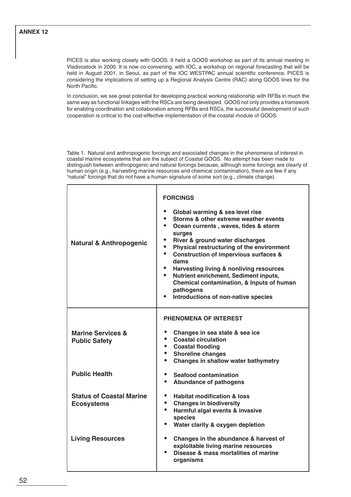PICES is also working closely with GOOS. It held a GOOS workshop as part of its annual meeting in Vladivostock in 2000. It is now co-convening, with IOC, a workshop on regional forecasting that will be held in August 2001, in Seoul, as part of the IOC WESTPAC annual scientific conference. PICES is considering the implications of setting up a Regional Analysis Centre (RAC) along GOOS lines for the North Pacific.

In conclusion, we see great potential for developing practical working relationship with RFBs in much the same way as functional linkages with the RSCs are being developed. GOOS not only provides a framework for enabling coordination and collaboration among RFBs and RSCs, the successful development of such cooperation is critical to the cost-effective implementation of the coastal module of GOOS.

Table 1. Natural and anthropogenic forcings and associated changes in the phenomena of interest in coastal marine ecosystems that are the subject of Coastal GOOS. No attempt has been made to distinguish between anthropogenic and natural forcings because, although some forcings are clearly of human origin (e.g., harvesting marine resources and chemical contamination), there are few if any "natural" forcings that do not have a human signature of some sort (e.g., climate change).

| <b>Natural &amp; Anthropogenic</b>                   | <b>FORCINGS</b><br>Global warming & sea level rise<br>$\bullet$<br>$\bullet$<br>Storms & other extreme weather events<br>$\bullet$<br>Ocean currents, waves, tides & storm<br>surges<br>River & ground water discharges<br>$\bullet$<br>Physical restructuring of the environment<br>$\bullet$<br><b>Construction of impervious surfaces &amp;</b><br>$\bullet$<br>dams<br>Harvesting living & nonliving resources<br>$\bullet$<br>Nutrient enrichment, Sediment inputs,<br>Chemical contamination, & Inputs of human<br>pathogens<br>Introductions of non-native species |
|------------------------------------------------------|---------------------------------------------------------------------------------------------------------------------------------------------------------------------------------------------------------------------------------------------------------------------------------------------------------------------------------------------------------------------------------------------------------------------------------------------------------------------------------------------------------------------------------------------------------------------------|
| <b>Marine Services &amp;</b><br><b>Public Safety</b> | <b>PHENOMENA OF INTEREST</b><br>$\bullet$<br>Changes in sea state & sea ice<br><b>Coastal circulation</b><br>• Coastal flooding<br><b>Shoreline changes</b><br>Changes in shallow water bathymetry                                                                                                                                                                                                                                                                                                                                                                        |
| <b>Public Health</b>                                 | $\bullet$<br><b>Seafood contamination</b><br>$\bullet$<br><b>Abundance of pathogens</b>                                                                                                                                                                                                                                                                                                                                                                                                                                                                                   |
| <b>Status of Coastal Marine</b><br><b>Ecosystems</b> | <b>Habitat modification &amp; loss</b><br>$\bullet$<br><b>Changes in biodiversity</b><br>$\bullet$<br>Harmful algal events & invasive<br>species<br>$\bullet$<br>Water clarity & oxygen depletion                                                                                                                                                                                                                                                                                                                                                                         |
| <b>Living Resources</b>                              | $\bullet$<br>Changes in the abundance & harvest of<br>exploitable living marine resources<br>Disease & mass mortalities of marine<br>organisms                                                                                                                                                                                                                                                                                                                                                                                                                            |